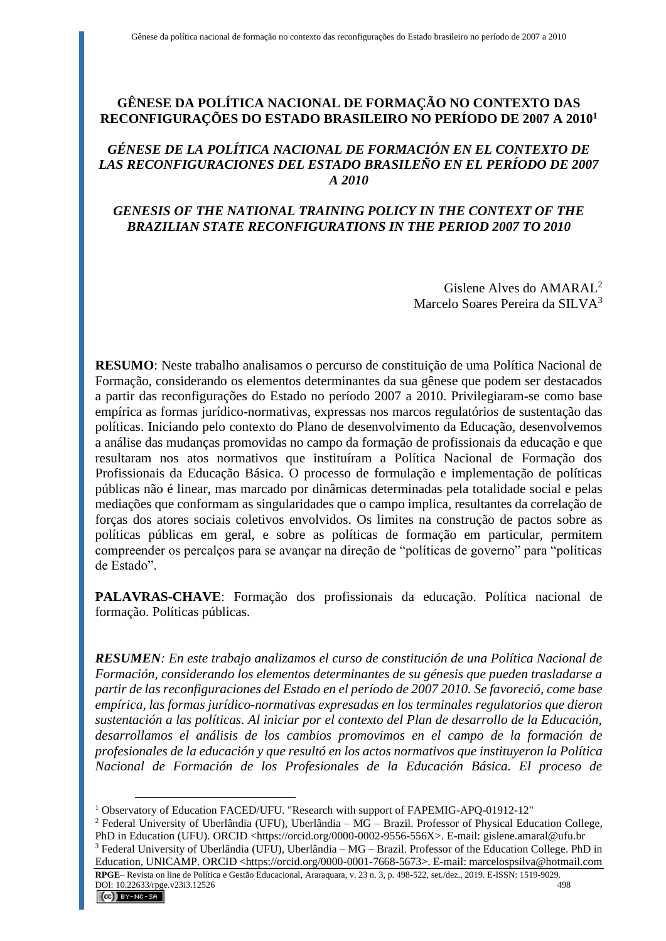## **GÊNESE DA POLÍTICA NACIONAL DE FORMAÇÃO NO CONTEXTO DAS RECONFIGURAÇÕES DO ESTADO BRASILEIRO NO PERÍODO DE 2007 A 2010<sup>1</sup>**

### *GÉNESE DE LA POLÍTICA NACIONAL DE FORMACIÓN EN EL CONTEXTO DE LAS RECONFIGURACIONES DEL ESTADO BRASILEÑO EN EL PERÍODO DE 2007 A 2010*

# *GENESIS OF THE NATIONAL TRAINING POLICY IN THE CONTEXT OF THE BRAZILIAN STATE RECONFIGURATIONS IN THE PERIOD 2007 TO 2010*

Gislene Alves do AMARAL<sup>2</sup> Marcelo Soares Pereira da SILVA<sup>3</sup>

**RESUMO**: Neste trabalho analisamos o percurso de constituição de uma Política Nacional de Formação, considerando os elementos determinantes da sua gênese que podem ser destacados a partir das reconfigurações do Estado no período 2007 a 2010. Privilegiaram-se como base empírica as formas jurídico-normativas, expressas nos marcos regulatórios de sustentação das políticas. Iniciando pelo contexto do Plano de desenvolvimento da Educação, desenvolvemos a análise das mudanças promovidas no campo da formação de profissionais da educação e que resultaram nos atos normativos que instituíram a Política Nacional de Formação dos Profissionais da Educação Básica. O processo de formulação e implementação de políticas públicas não é linear, mas marcado por dinâmicas determinadas pela totalidade social e pelas mediações que conformam as singularidades que o campo implica, resultantes da correlação de forças dos atores sociais coletivos envolvidos. Os limites na construção de pactos sobre as políticas públicas em geral, e sobre as políticas de formação em particular, permitem compreender os percalços para se avançar na direção de "políticas de governo" para "políticas de Estado".

**PALAVRAS-CHAVE**: Formação dos profissionais da educação. Política nacional de formação. Políticas públicas.

*RESUMEN: En este trabajo analizamos el curso de constitución de una Política Nacional de Formación, considerando los elementos determinantes de su génesis que pueden trasladarse a partir de las reconfiguraciones del Estado en el período de 2007 2010. Se favoreció, come base empírica, las formas jurídico-normativas expresadas en los terminales regulatorios que dieron sustentación a las políticas. Al iniciar por el contexto del Plan de desarrollo de la Educación, desarrollamos el análisis de los cambios promovimos en el campo de la formación de profesionales de la educación y que resultó en los actos normativos que instituyeron la Política Nacional de Formación de los Profesionales de la Educación Básica. El proceso de* 

<sup>1</sup> Observatory of Education FACED/UFU. "Research with support of FAPEMIG-APQ-01912-12"

<sup>2</sup> Federal University of Uberlândia (UFU), Uberlândia – MG – Brazil. Professor of Physical Education College, PhD in Education (UFU). ORCID <https://orcid.org/0000-0002-9556-556X>. E-mail: gislene.amaral@ufu.br

<sup>3</sup> Federal University of Uberlândia (UFU), Uberlândia – MG – Brazil. Professor of the Education College. PhD in Education, UNICAMP. ORCID <https://orcid.org/0000-0001-7668-5673>. E-mail: marcelospsilva@hotmail.com

**RPGE**– Revista on line de Política e Gestão Educacional, Araraquara, v. 23 n. 3, p. 498-522, set./dez., 2019. E-ISSN: 1519-9029. DOI:  $10.22633/rpge.v23i3.12526$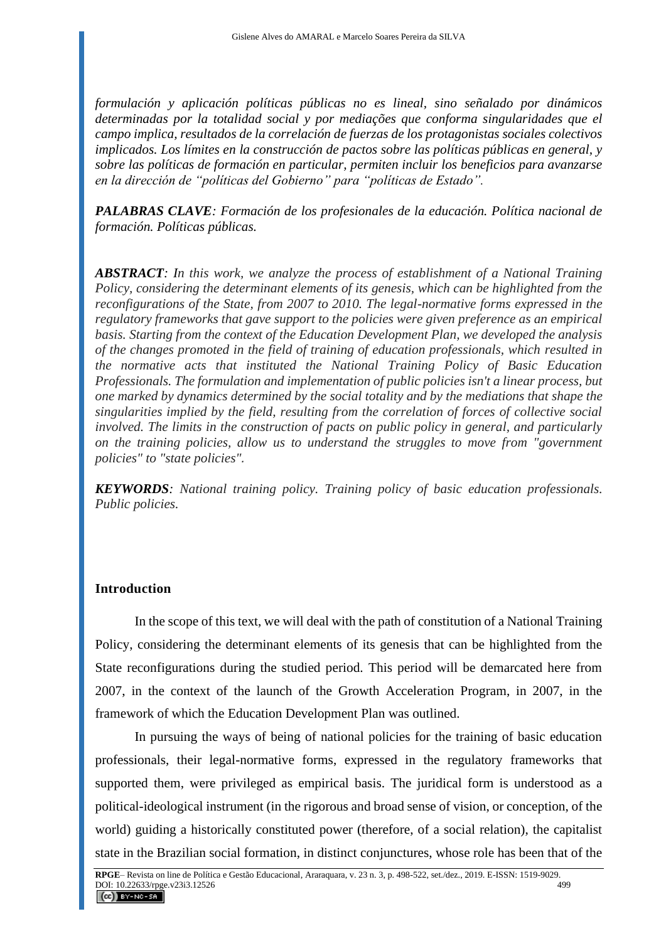*formulación y aplicación políticas públicas no es lineal, sino señalado por dinámicos determinadas por la totalidad social y por mediações que conforma singularidades que el campo implica, resultados de la correlación de fuerzas de los protagonistas sociales colectivos implicados. Los límites en la construcción de pactos sobre las políticas públicas en general, y sobre las políticas de formación en particular, permiten incluir los beneficios para avanzarse en la dirección de "políticas del Gobierno" para "políticas de Estado".*

*PALABRAS CLAVE: Formación de los profesionales de la educación. Política nacional de formación. Políticas públicas.*

*ABSTRACT: In this work, we analyze the process of establishment of a National Training Policy, considering the determinant elements of its genesis, which can be highlighted from the reconfigurations of the State, from 2007 to 2010. The legal-normative forms expressed in the regulatory frameworks that gave support to the policies were given preference as an empirical basis. Starting from the context of the Education Development Plan, we developed the analysis of the changes promoted in the field of training of education professionals, which resulted in the normative acts that instituted the National Training Policy of Basic Education Professionals. The formulation and implementation of public policies isn't a linear process, but one marked by dynamics determined by the social totality and by the mediations that shape the singularities implied by the field, resulting from the correlation of forces of collective social involved. The limits in the construction of pacts on public policy in general, and particularly on the training policies, allow us to understand the struggles to move from "government policies" to "state policies".*

*KEYWORDS: National training policy. Training policy of basic education professionals. Public policies.*

#### **Introduction**

In the scope of this text, we will deal with the path of constitution of a National Training Policy, considering the determinant elements of its genesis that can be highlighted from the State reconfigurations during the studied period. This period will be demarcated here from 2007, in the context of the launch of the Growth Acceleration Program, in 2007, in the framework of which the Education Development Plan was outlined.

In pursuing the ways of being of national policies for the training of basic education professionals, their legal-normative forms, expressed in the regulatory frameworks that supported them, were privileged as empirical basis. The juridical form is understood as a political-ideological instrument (in the rigorous and broad sense of vision, or conception, of the world) guiding a historically constituted power (therefore, of a social relation), the capitalist state in the Brazilian social formation, in distinct conjunctures, whose role has been that of the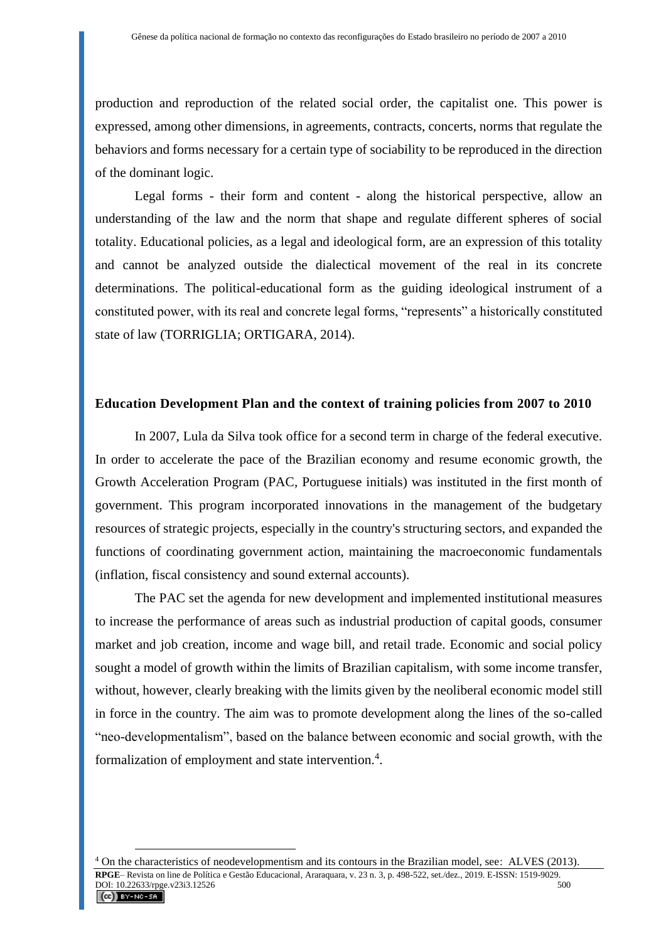production and reproduction of the related social order, the capitalist one. This power is expressed, among other dimensions, in agreements, contracts, concerts, norms that regulate the behaviors and forms necessary for a certain type of sociability to be reproduced in the direction of the dominant logic.

Legal forms - their form and content - along the historical perspective, allow an understanding of the law and the norm that shape and regulate different spheres of social totality. Educational policies, as a legal and ideological form, are an expression of this totality and cannot be analyzed outside the dialectical movement of the real in its concrete determinations. The political-educational form as the guiding ideological instrument of a constituted power, with its real and concrete legal forms, "represents" a historically constituted state of law (TORRIGLIA; ORTIGARA, 2014).

#### **Education Development Plan and the context of training policies from 2007 to 2010**

In 2007, Lula da Silva took office for a second term in charge of the federal executive. In order to accelerate the pace of the Brazilian economy and resume economic growth, the Growth Acceleration Program (PAC, Portuguese initials) was instituted in the first month of government. This program incorporated innovations in the management of the budgetary resources of strategic projects, especially in the country's structuring sectors, and expanded the functions of coordinating government action, maintaining the macroeconomic fundamentals (inflation, fiscal consistency and sound external accounts).

The PAC set the agenda for new development and implemented institutional measures to increase the performance of areas such as industrial production of capital goods, consumer market and job creation, income and wage bill, and retail trade. Economic and social policy sought a model of growth within the limits of Brazilian capitalism, with some income transfer, without, however, clearly breaking with the limits given by the neoliberal economic model still in force in the country. The aim was to promote development along the lines of the so-called "neo-developmentalism", based on the balance between economic and social growth, with the formalization of employment and state intervention.<sup>4</sup>.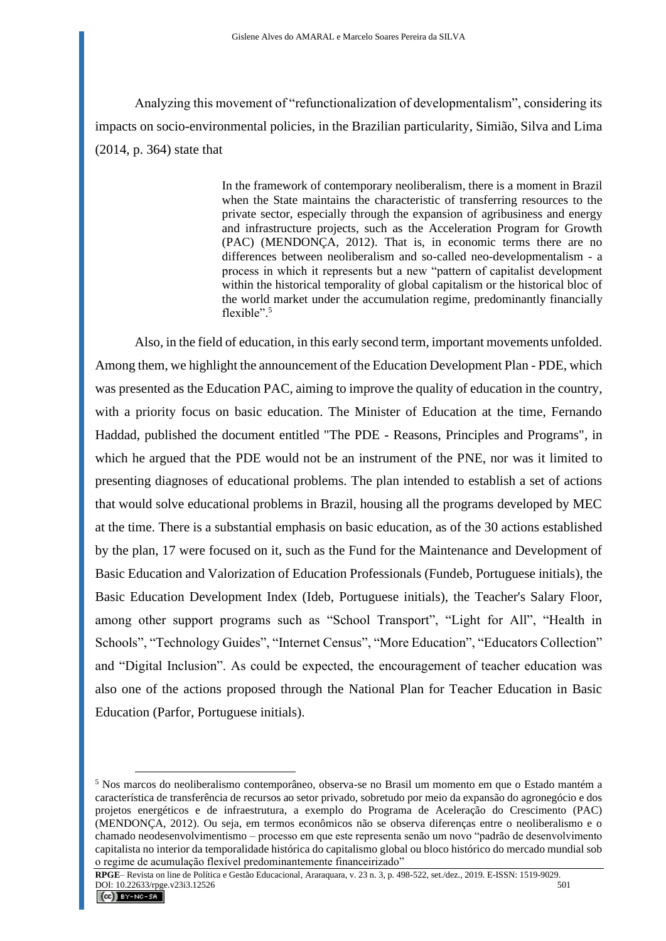Analyzing this movement of "refunctionalization of developmentalism", considering its impacts on socio-environmental policies, in the Brazilian particularity, Simião, Silva and Lima (2014, p. 364) state that

> In the framework of contemporary neoliberalism, there is a moment in Brazil when the State maintains the characteristic of transferring resources to the private sector, especially through the expansion of agribusiness and energy and infrastructure projects, such as the Acceleration Program for Growth (PAC) (MENDONÇA, 2012). That is, in economic terms there are no differences between neoliberalism and so-called neo-developmentalism - a process in which it represents but a new "pattern of capitalist development within the historical temporality of global capitalism or the historical bloc of the world market under the accumulation regime, predominantly financially flexible".<sup>5</sup>

Also, in the field of education, in this early second term, important movements unfolded. Among them, we highlight the announcement of the Education Development Plan - PDE, which was presented as the Education PAC, aiming to improve the quality of education in the country, with a priority focus on basic education. The Minister of Education at the time, Fernando Haddad, published the document entitled "The PDE - Reasons, Principles and Programs", in which he argued that the PDE would not be an instrument of the PNE, nor was it limited to presenting diagnoses of educational problems. The plan intended to establish a set of actions that would solve educational problems in Brazil, housing all the programs developed by MEC at the time. There is a substantial emphasis on basic education, as of the 30 actions established by the plan, 17 were focused on it, such as the Fund for the Maintenance and Development of Basic Education and Valorization of Education Professionals (Fundeb, Portuguese initials), the Basic Education Development Index (Ideb, Portuguese initials), the Teacher's Salary Floor, among other support programs such as "School Transport", "Light for All", "Health in Schools", "Technology Guides", "Internet Census", "More Education", "Educators Collection" and "Digital Inclusion". As could be expected, the encouragement of teacher education was also one of the actions proposed through the National Plan for Teacher Education in Basic Education (Parfor, Portuguese initials).

<sup>5</sup> Nos marcos do neoliberalismo contemporâneo, observa-se no Brasil um momento em que o Estado mantém a característica de transferência de recursos ao setor privado, sobretudo por meio da expansão do agronegócio e dos projetos energéticos e de infraestrutura, a exemplo do Programa de Aceleração do Crescimento (PAC) (MENDONÇA, 2012). Ou seja, em termos econômicos não se observa diferenças entre o neoliberalismo e o chamado neodesenvolvimentismo – processo em que este representa senão um novo "padrão de desenvolvimento capitalista no interior da temporalidade histórica do capitalismo global ou bloco histórico do mercado mundial sob o regime de acumulação flexível predominantemente financeirizado"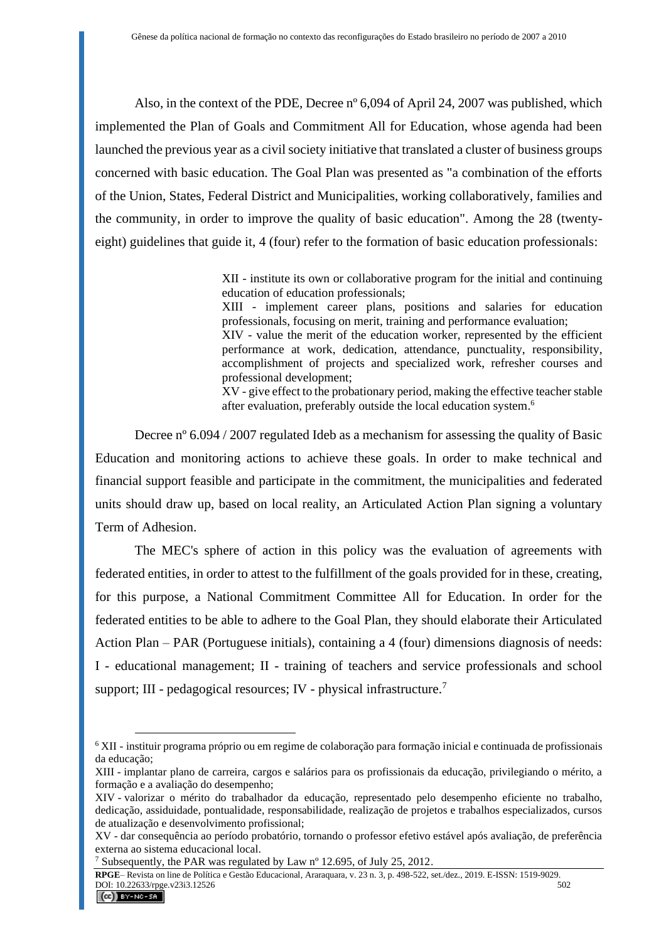Also, in the context of the PDE, Decree nº 6,094 of April 24, 2007 was published, which implemented the Plan of Goals and Commitment All for Education, whose agenda had been launched the previous year as a civil society initiative that translated a cluster of business groups concerned with basic education. The Goal Plan was presented as "a combination of the efforts of the Union, States, Federal District and Municipalities, working collaboratively, families and the community, in order to improve the quality of basic education". Among the 28 (twentyeight) guidelines that guide it, 4 (four) refer to the formation of basic education professionals:

> XII - institute its own or collaborative program for the initial and continuing education of education professionals;

> XIII - implement career plans, positions and salaries for education professionals, focusing on merit, training and performance evaluation;

> XIV - value the merit of the education worker, represented by the efficient performance at work, dedication, attendance, punctuality, responsibility, accomplishment of projects and specialized work, refresher courses and professional development;

> XV - give effect to the probationary period, making the effective teacher stable after evaluation, preferably outside the local education system. 6

Decree nº 6.094 / 2007 regulated Ideb as a mechanism for assessing the quality of Basic Education and monitoring actions to achieve these goals. In order to make technical and financial support feasible and participate in the commitment, the municipalities and federated units should draw up, based on local reality, an Articulated Action Plan signing a voluntary Term of Adhesion.

The MEC's sphere of action in this policy was the evaluation of agreements with federated entities, in order to attest to the fulfillment of the goals provided for in these, creating, for this purpose, a National Commitment Committee All for Education. In order for the federated entities to be able to adhere to the Goal Plan, they should elaborate their Articulated Action Plan – PAR (Portuguese initials), containing a 4 (four) dimensions diagnosis of needs: I - educational management; II - training of teachers and service professionals and school support; III - pedagogical resources; IV - physical infrastructure.<sup>7</sup>

**RPGE**– Revista on line de Política e Gestão Educacional, Araraquara, v. 23 n. 3, p. 498-522, set./dez., 2019. E-ISSN: 1519-9029. DOI: 10.22633/rpge.v23i3.12526

<sup>6</sup> XII - instituir programa próprio ou em regime de colaboração para formação inicial e continuada de profissionais da educação;

XIII - implantar plano de carreira, cargos e salários para os profissionais da educação, privilegiando o mérito, a formação e a avaliação do desempenho;

XIV - valorizar o mérito do trabalhador da educação, representado pelo desempenho eficiente no trabalho, dedicação, assiduidade, pontualidade, responsabilidade, realização de projetos e trabalhos especializados, cursos de atualização e desenvolvimento profissional;

XV - dar consequência ao período probatório, tornando o professor efetivo estável após avaliação, de preferência externa ao sistema educacional local.

<sup>&</sup>lt;sup>7</sup> Subsequently, the PAR was regulated by Law  $n^{\circ}$  12.695, of July 25, 2012.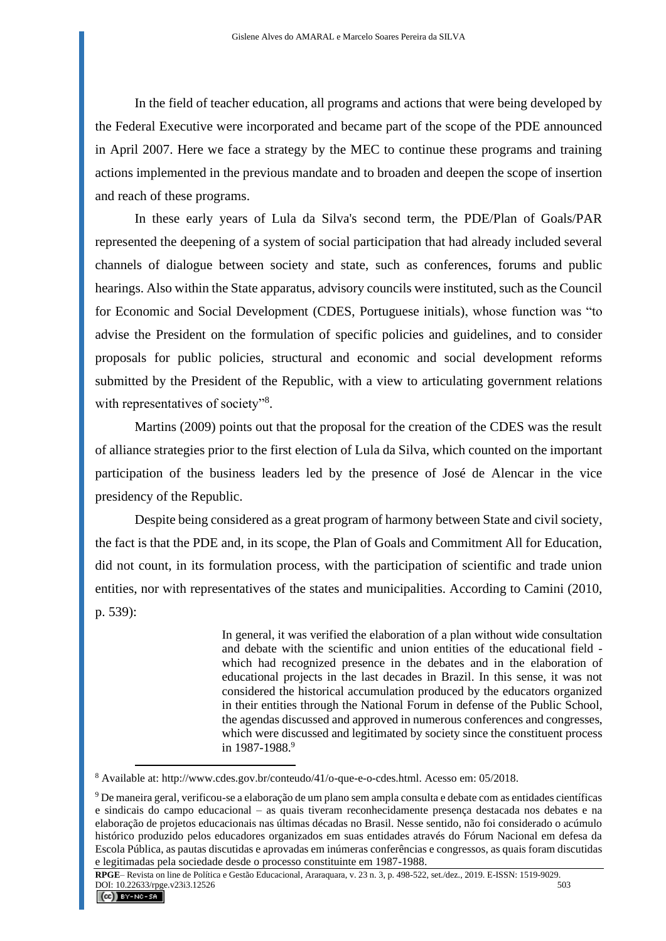In the field of teacher education, all programs and actions that were being developed by the Federal Executive were incorporated and became part of the scope of the PDE announced in April 2007. Here we face a strategy by the MEC to continue these programs and training actions implemented in the previous mandate and to broaden and deepen the scope of insertion and reach of these programs.

In these early years of Lula da Silva's second term, the PDE/Plan of Goals/PAR represented the deepening of a system of social participation that had already included several channels of dialogue between society and state, such as conferences, forums and public hearings. Also within the State apparatus, advisory councils were instituted, such as the Council for Economic and Social Development (CDES, Portuguese initials), whose function was "to advise the President on the formulation of specific policies and guidelines, and to consider proposals for public policies, structural and economic and social development reforms submitted by the President of the Republic, with a view to articulating government relations with representatives of society"<sup>8</sup>.

Martins (2009) points out that the proposal for the creation of the CDES was the result of alliance strategies prior to the first election of Lula da Silva, which counted on the important participation of the business leaders led by the presence of José de Alencar in the vice presidency of the Republic.

Despite being considered as a great program of harmony between State and civil society, the fact is that the PDE and, in its scope, the Plan of Goals and Commitment All for Education, did not count, in its formulation process, with the participation of scientific and trade union entities, nor with representatives of the states and municipalities. According to Camini (2010, p. 539):

> In general, it was verified the elaboration of a plan without wide consultation and debate with the scientific and union entities of the educational field which had recognized presence in the debates and in the elaboration of educational projects in the last decades in Brazil. In this sense, it was not considered the historical accumulation produced by the educators organized in their entities through the National Forum in defense of the Public School, the agendas discussed and approved in numerous conferences and congresses, which were discussed and legitimated by society since the constituent process in 1987-1988. 9

<sup>8</sup> Available at: http://www.cdes.gov.br/conteudo/41/o-que-e-o-cdes.html. Acesso em: 05/2018.

<sup>9</sup> De maneira geral, verificou-se a elaboração de um plano sem ampla consulta e debate com as entidades científicas e sindicais do campo educacional – as quais tiveram reconhecidamente presença destacada nos debates e na elaboração de projetos educacionais nas últimas décadas no Brasil. Nesse sentido, não foi considerado o acúmulo histórico produzido pelos educadores organizados em suas entidades através do Fórum Nacional em defesa da Escola Pública, as pautas discutidas e aprovadas em inúmeras conferências e congressos, as quais foram discutidas e legitimadas pela sociedade desde o processo constituinte em 1987-1988.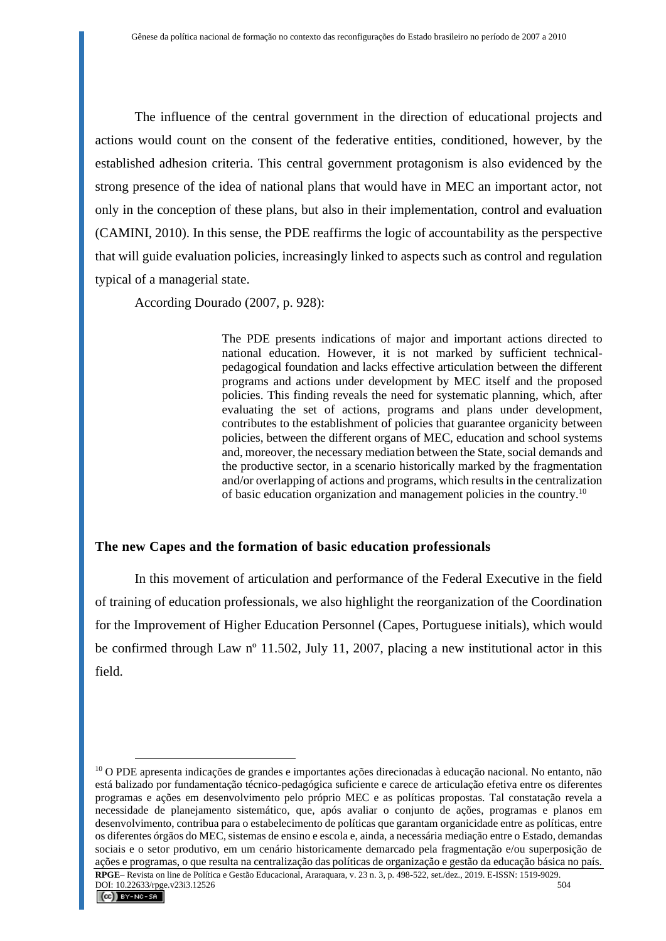The influence of the central government in the direction of educational projects and actions would count on the consent of the federative entities, conditioned, however, by the established adhesion criteria. This central government protagonism is also evidenced by the strong presence of the idea of national plans that would have in MEC an important actor, not only in the conception of these plans, but also in their implementation, control and evaluation (CAMINI, 2010). In this sense, the PDE reaffirms the logic of accountability as the perspective that will guide evaluation policies, increasingly linked to aspects such as control and regulation typical of a managerial state.

According Dourado (2007, p. 928):

The PDE presents indications of major and important actions directed to national education. However, it is not marked by sufficient technicalpedagogical foundation and lacks effective articulation between the different programs and actions under development by MEC itself and the proposed policies. This finding reveals the need for systematic planning, which, after evaluating the set of actions, programs and plans under development, contributes to the establishment of policies that guarantee organicity between policies, between the different organs of MEC, education and school systems and, moreover, the necessary mediation between the State, social demands and the productive sector, in a scenario historically marked by the fragmentation and/or overlapping of actions and programs, which results in the centralization of basic education organization and management policies in the country.<sup>10</sup>

#### **The new Capes and the formation of basic education professionals**

In this movement of articulation and performance of the Federal Executive in the field of training of education professionals, we also highlight the reorganization of the Coordination for the Improvement of Higher Education Personnel (Capes, Portuguese initials), which would be confirmed through Law n<sup>o</sup> 11.502, July 11, 2007, placing a new institutional actor in this field.

**RPGE**– Revista on line de Política e Gestão Educacional, Araraquara, v. 23 n. 3, p. 498-522, set./dez., 2019. E-ISSN: 1519-9029. DOI: 10.22633/rpge.v23i3.12526

<sup>10</sup> O PDE apresenta indicações de grandes e importantes ações direcionadas à educação nacional. No entanto, não está balizado por fundamentação técnico-pedagógica suficiente e carece de articulação efetiva entre os diferentes programas e ações em desenvolvimento pelo próprio MEC e as políticas propostas. Tal constatação revela a necessidade de planejamento sistemático, que, após avaliar o conjunto de ações, programas e planos em desenvolvimento, contribua para o estabelecimento de políticas que garantam organicidade entre as políticas, entre os diferentes órgãos do MEC, sistemas de ensino e escola e, ainda, a necessária mediação entre o Estado, demandas sociais e o setor produtivo, em um cenário historicamente demarcado pela fragmentação e/ou superposição de ações e programas, o que resulta na centralização das políticas de organização e gestão da educação básica no país.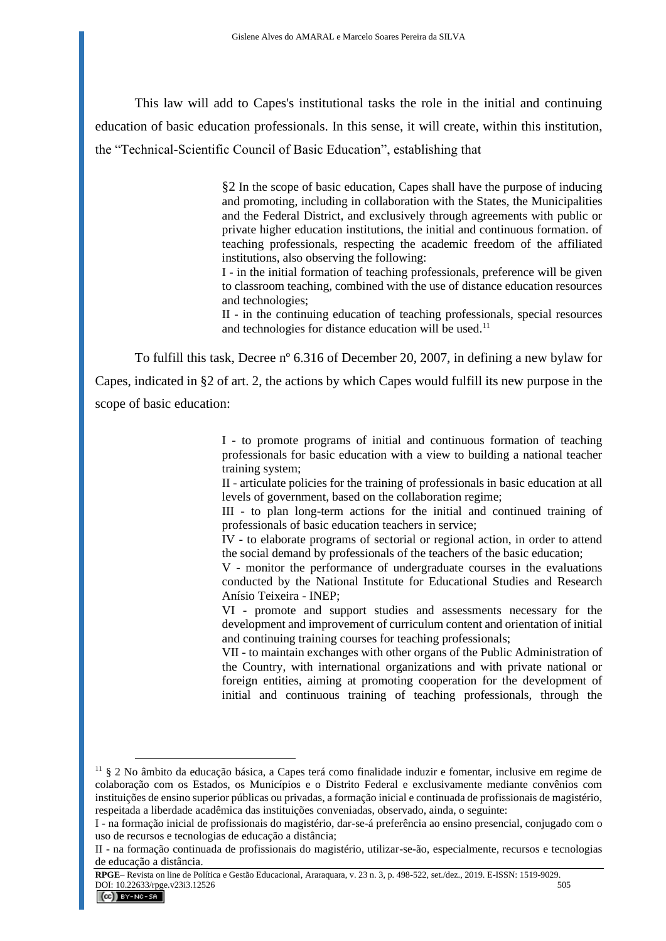This law will add to Capes's institutional tasks the role in the initial and continuing education of basic education professionals. In this sense, it will create, within this institution, the "Technical-Scientific Council of Basic Education", establishing that

> §2 In the scope of basic education, Capes shall have the purpose of inducing and promoting, including in collaboration with the States, the Municipalities and the Federal District, and exclusively through agreements with public or private higher education institutions, the initial and continuous formation. of teaching professionals, respecting the academic freedom of the affiliated institutions, also observing the following:

> I - in the initial formation of teaching professionals, preference will be given to classroom teaching, combined with the use of distance education resources and technologies;

> II - in the continuing education of teaching professionals, special resources and technologies for distance education will be used. $^{11}$

To fulfill this task, Decree nº 6.316 of December 20, 2007, in defining a new bylaw for Capes, indicated in §2 of art. 2, the actions by which Capes would fulfill its new purpose in the

scope of basic education:

I - to promote programs of initial and continuous formation of teaching professionals for basic education with a view to building a national teacher training system;

II - articulate policies for the training of professionals in basic education at all levels of government, based on the collaboration regime;

III - to plan long-term actions for the initial and continued training of professionals of basic education teachers in service;

IV - to elaborate programs of sectorial or regional action, in order to attend the social demand by professionals of the teachers of the basic education;

V - monitor the performance of undergraduate courses in the evaluations conducted by the National Institute for Educational Studies and Research Anísio Teixeira - INEP;

VI - promote and support studies and assessments necessary for the development and improvement of curriculum content and orientation of initial and continuing training courses for teaching professionals;

VII - to maintain exchanges with other organs of the Public Administration of the Country, with international organizations and with private national or foreign entities, aiming at promoting cooperation for the development of initial and continuous training of teaching professionals, through the

**RPGE**– Revista on line de Política e Gestão Educacional, Araraquara, v. 23 n. 3, p. 498-522, set./dez., 2019. E-ISSN: 1519-9029. DOI:  $10.22633$ /rpge.v23i3.12526 505

<sup>11</sup> § 2 No âmbito da educação básica, a Capes terá como finalidade induzir e fomentar, inclusive em regime de colaboração com os Estados, os Municípios e o Distrito Federal e exclusivamente mediante convênios com instituições de ensino superior públicas ou privadas, a formação inicial e continuada de profissionais de magistério, respeitada a liberdade acadêmica das instituições conveniadas, observado, ainda, o seguinte:

I - na formação inicial de profissionais do magistério, dar-se-á preferência ao ensino presencial, conjugado com o uso de recursos e tecnologias de educação a distância;

II - na formação continuada de profissionais do magistério, utilizar-se-ão, especialmente, recursos e tecnologias de educação a distância.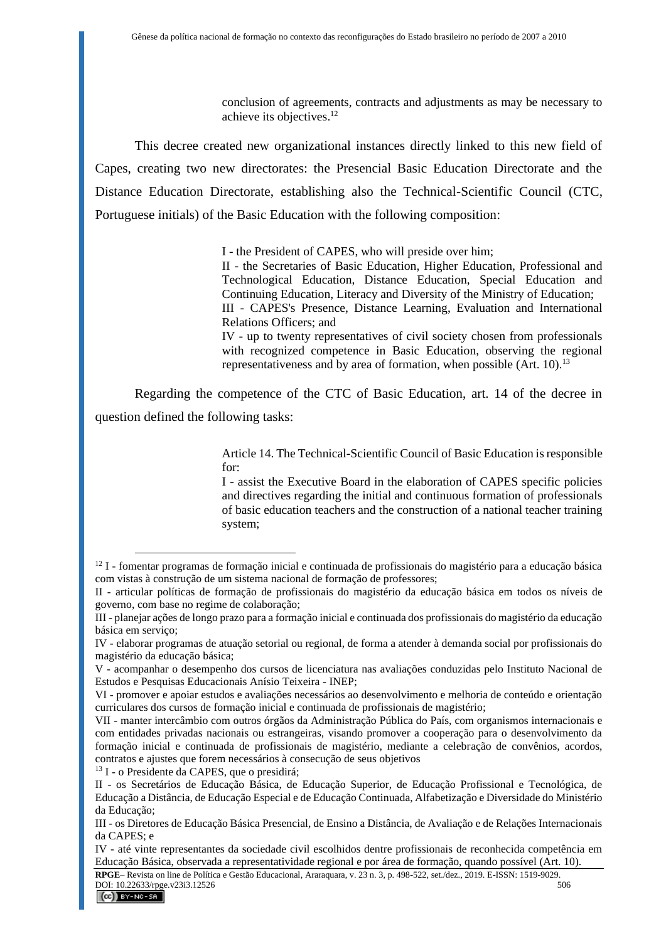conclusion of agreements, contracts and adjustments as may be necessary to achieve its objectives. 12

This decree created new organizational instances directly linked to this new field of Capes, creating two new directorates: the Presencial Basic Education Directorate and the Distance Education Directorate, establishing also the Technical-Scientific Council (CTC, Portuguese initials) of the Basic Education with the following composition:

I - the President of CAPES, who will preside over him;

II - the Secretaries of Basic Education, Higher Education, Professional and Technological Education, Distance Education, Special Education and Continuing Education, Literacy and Diversity of the Ministry of Education; III - CAPES's Presence, Distance Learning, Evaluation and International Relations Officers; and

IV - up to twenty representatives of civil society chosen from professionals with recognized competence in Basic Education, observing the regional representativeness and by area of formation, when possible  $(Art. 10)$ .<sup>13</sup>

Regarding the competence of the CTC of Basic Education, art. 14 of the decree in question defined the following tasks:

> Article 14. The Technical-Scientific Council of Basic Education is responsible for:

> I - assist the Executive Board in the elaboration of CAPES specific policies and directives regarding the initial and continuous formation of professionals of basic education teachers and the construction of a national teacher training system;

<sup>13</sup> I - o Presidente da CAPES, que o presidirá;

<sup>&</sup>lt;sup>12</sup> I - fomentar programas de formação inicial e continuada de profissionais do magistério para a educação básica com vistas à construção de um sistema nacional de formação de professores;

II - articular políticas de formação de profissionais do magistério da educação básica em todos os níveis de governo, com base no regime de colaboração;

III - planejar ações de longo prazo para a formação inicial e continuada dos profissionais do magistério da educação básica em serviço;

IV - elaborar programas de atuação setorial ou regional, de forma a atender à demanda social por profissionais do magistério da educação básica;

V - acompanhar o desempenho dos cursos de licenciatura nas avaliações conduzidas pelo Instituto Nacional de Estudos e Pesquisas Educacionais Anísio Teixeira - INEP;

VI - promover e apoiar estudos e avaliações necessários ao desenvolvimento e melhoria de conteúdo e orientação curriculares dos cursos de formação inicial e continuada de profissionais de magistério;

VII - manter intercâmbio com outros órgãos da Administração Pública do País, com organismos internacionais e com entidades privadas nacionais ou estrangeiras, visando promover a cooperação para o desenvolvimento da formação inicial e continuada de profissionais de magistério, mediante a celebração de convênios, acordos, contratos e ajustes que forem necessários à consecução de seus objetivos

II - os Secretários de Educação Básica, de Educação Superior, de Educação Profissional e Tecnológica, de Educação a Distância, de Educação Especial e de Educação Continuada, Alfabetização e Diversidade do Ministério da Educação;

III - os Diretores de Educação Básica Presencial, de Ensino a Distância, de Avaliação e de Relações Internacionais da CAPES; e

IV - até vinte representantes da sociedade civil escolhidos dentre profissionais de reconhecida competência em Educação Básica, observada a representatividade regional e por área de formação, quando possível (Art. 10).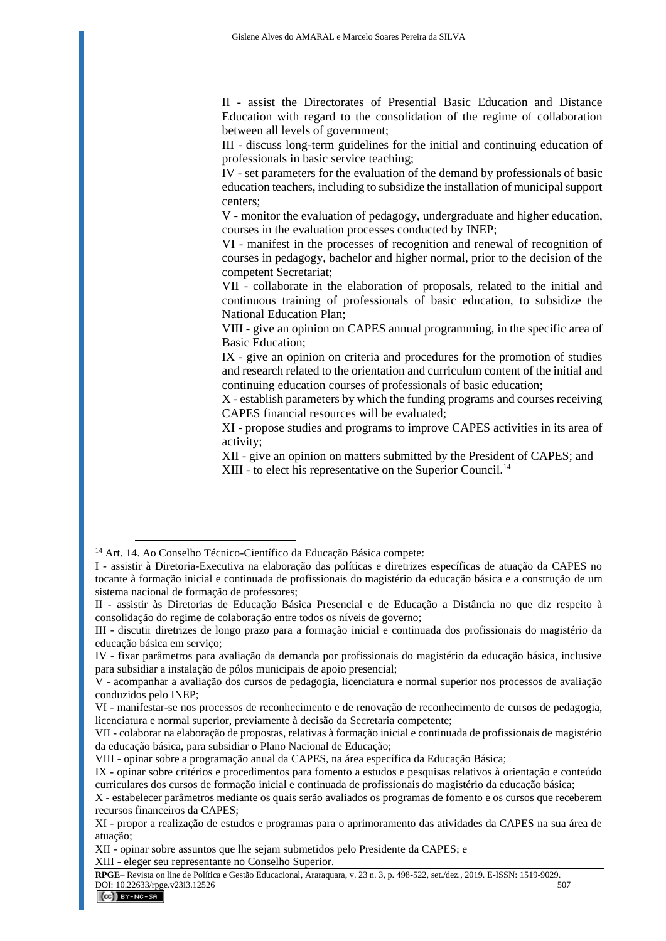II - assist the Directorates of Presential Basic Education and Distance Education with regard to the consolidation of the regime of collaboration between all levels of government;

III - discuss long-term guidelines for the initial and continuing education of professionals in basic service teaching;

IV - set parameters for the evaluation of the demand by professionals of basic education teachers, including to subsidize the installation of municipal support centers;

V - monitor the evaluation of pedagogy, undergraduate and higher education, courses in the evaluation processes conducted by INEP;

VI - manifest in the processes of recognition and renewal of recognition of courses in pedagogy, bachelor and higher normal, prior to the decision of the competent Secretariat;

VII - collaborate in the elaboration of proposals, related to the initial and continuous training of professionals of basic education, to subsidize the National Education Plan;

VIII - give an opinion on CAPES annual programming, in the specific area of Basic Education;

IX - give an opinion on criteria and procedures for the promotion of studies and research related to the orientation and curriculum content of the initial and continuing education courses of professionals of basic education;

X - establish parameters by which the funding programs and courses receiving CAPES financial resources will be evaluated;

XI - propose studies and programs to improve CAPES activities in its area of activity;

XII - give an opinion on matters submitted by the President of CAPES; and XIII - to elect his representative on the Superior Council.<sup>14</sup>

<sup>14</sup> Art. 14. Ao Conselho Técnico-Científico da Educação Básica compete:

I - assistir à Diretoria-Executiva na elaboração das políticas e diretrizes específicas de atuação da CAPES no tocante à formação inicial e continuada de profissionais do magistério da educação básica e a construção de um sistema nacional de formação de professores;

II - assistir às Diretorias de Educação Básica Presencial e de Educação a Distância no que diz respeito à consolidação do regime de colaboração entre todos os níveis de governo;

III - discutir diretrizes de longo prazo para a formação inicial e continuada dos profissionais do magistério da educação básica em serviço;

IV - fixar parâmetros para avaliação da demanda por profissionais do magistério da educação básica, inclusive para subsidiar a instalação de pólos municipais de apoio presencial;

V - acompanhar a avaliação dos cursos de pedagogia, licenciatura e normal superior nos processos de avaliação conduzidos pelo INEP;

VI - manifestar-se nos processos de reconhecimento e de renovação de reconhecimento de cursos de pedagogia, licenciatura e normal superior, previamente à decisão da Secretaria competente;

VII - colaborar na elaboração de propostas, relativas à formação inicial e continuada de profissionais de magistério da educação básica, para subsidiar o Plano Nacional de Educação;

VIII - opinar sobre a programação anual da CAPES, na área específica da Educação Básica;

IX - opinar sobre critérios e procedimentos para fomento a estudos e pesquisas relativos à orientação e conteúdo curriculares dos cursos de formação inicial e continuada de profissionais do magistério da educação básica;

X - estabelecer parâmetros mediante os quais serão avaliados os programas de fomento e os cursos que receberem recursos financeiros da CAPES;

XI - propor a realização de estudos e programas para o aprimoramento das atividades da CAPES na sua área de atuação;

XII - opinar sobre assuntos que lhe sejam submetidos pelo Presidente da CAPES; e

XIII - eleger seu representante no Conselho Superior.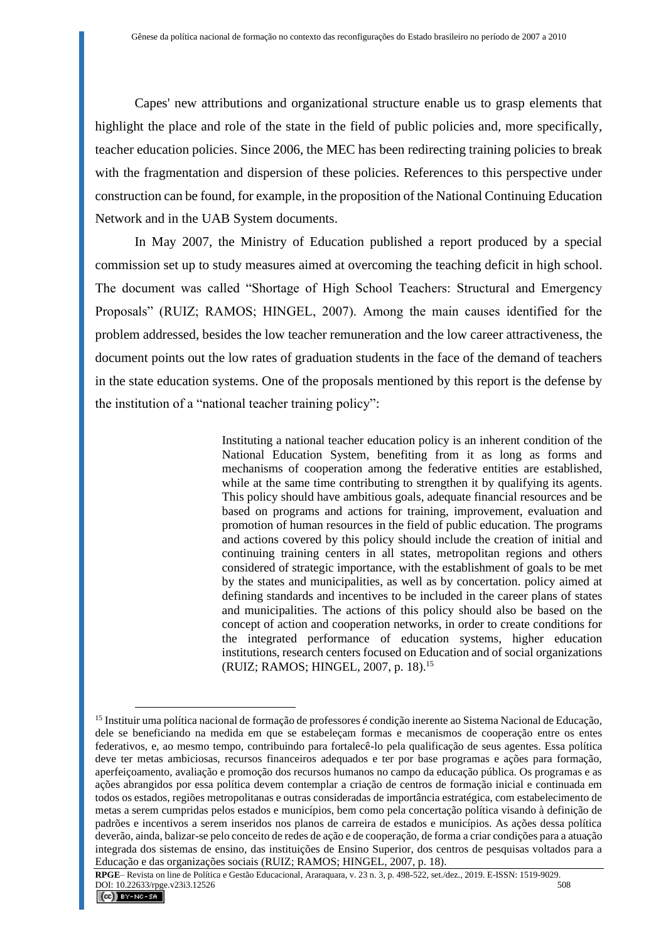Capes' new attributions and organizational structure enable us to grasp elements that highlight the place and role of the state in the field of public policies and, more specifically, teacher education policies. Since 2006, the MEC has been redirecting training policies to break with the fragmentation and dispersion of these policies. References to this perspective under construction can be found, for example, in the proposition of the National Continuing Education Network and in the UAB System documents.

In May 2007, the Ministry of Education published a report produced by a special commission set up to study measures aimed at overcoming the teaching deficit in high school. The document was called "Shortage of High School Teachers: Structural and Emergency Proposals" (RUIZ; RAMOS; HINGEL, 2007). Among the main causes identified for the problem addressed, besides the low teacher remuneration and the low career attractiveness, the document points out the low rates of graduation students in the face of the demand of teachers in the state education systems. One of the proposals mentioned by this report is the defense by the institution of a "national teacher training policy":

> Instituting a national teacher education policy is an inherent condition of the National Education System, benefiting from it as long as forms and mechanisms of cooperation among the federative entities are established, while at the same time contributing to strengthen it by qualifying its agents. This policy should have ambitious goals, adequate financial resources and be based on programs and actions for training, improvement, evaluation and promotion of human resources in the field of public education. The programs and actions covered by this policy should include the creation of initial and continuing training centers in all states, metropolitan regions and others considered of strategic importance, with the establishment of goals to be met by the states and municipalities, as well as by concertation. policy aimed at defining standards and incentives to be included in the career plans of states and municipalities. The actions of this policy should also be based on the concept of action and cooperation networks, in order to create conditions for the integrated performance of education systems, higher education institutions, research centers focused on Education and of social organizations (RUIZ; RAMOS; HINGEL, 2007, p. 18).<sup>15</sup>

**RPGE**– Revista on line de Política e Gestão Educacional, Araraquara, v. 23 n. 3, p. 498-522, set./dez., 2019. E-ISSN: 1519-9029. DOI: 10.22633/rpge.v23i3.12526

<sup>&</sup>lt;sup>15</sup> Instituir uma política nacional de formação de professores é condição inerente ao Sistema Nacional de Educação, dele se beneficiando na medida em que se estabeleçam formas e mecanismos de cooperação entre os entes federativos, e, ao mesmo tempo, contribuindo para fortalecê-lo pela qualificação de seus agentes. Essa política deve ter metas ambiciosas, recursos financeiros adequados e ter por base programas e ações para formação, aperfeiçoamento, avaliação e promoção dos recursos humanos no campo da educação pública. Os programas e as ações abrangidos por essa política devem contemplar a criação de centros de formação inicial e continuada em todos os estados, regiões metropolitanas e outras consideradas de importância estratégica, com estabelecimento de metas a serem cumpridas pelos estados e municípios, bem como pela concertação política visando à definição de padrões e incentivos a serem inseridos nos planos de carreira de estados e municípios. As ações dessa política deverão, ainda, balizar-se pelo conceito de redes de ação e de cooperação, de forma a criar condições para a atuação integrada dos sistemas de ensino, das instituições de Ensino Superior, dos centros de pesquisas voltados para a Educação e das organizações sociais (RUIZ; RAMOS; HINGEL, 2007, p. 18).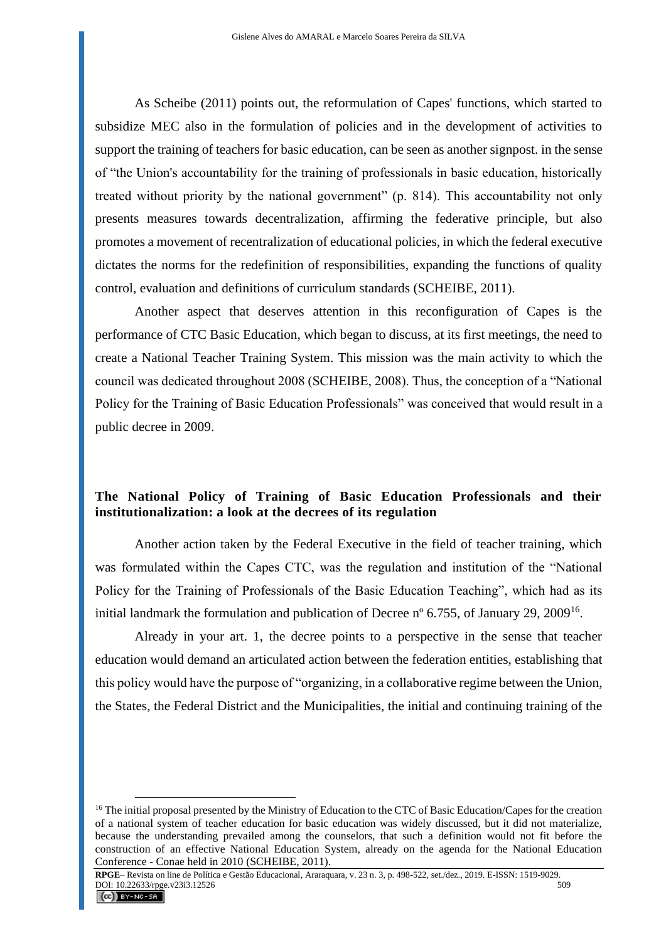As Scheibe (2011) points out, the reformulation of Capes' functions, which started to subsidize MEC also in the formulation of policies and in the development of activities to support the training of teachers for basic education, can be seen as another signpost. in the sense of "the Union's accountability for the training of professionals in basic education, historically treated without priority by the national government" (p. 814). This accountability not only presents measures towards decentralization, affirming the federative principle, but also promotes a movement of recentralization of educational policies, in which the federal executive dictates the norms for the redefinition of responsibilities, expanding the functions of quality control, evaluation and definitions of curriculum standards (SCHEIBE, 2011).

Another aspect that deserves attention in this reconfiguration of Capes is the performance of CTC Basic Education, which began to discuss, at its first meetings, the need to create a National Teacher Training System. This mission was the main activity to which the council was dedicated throughout 2008 (SCHEIBE, 2008). Thus, the conception of a "National Policy for the Training of Basic Education Professionals" was conceived that would result in a public decree in 2009.

### **The National Policy of Training of Basic Education Professionals and their institutionalization: a look at the decrees of its regulation**

Another action taken by the Federal Executive in the field of teacher training, which was formulated within the Capes CTC, was the regulation and institution of the "National Policy for the Training of Professionals of the Basic Education Teaching", which had as its initial landmark the formulation and publication of Decree n° 6.755, of January 29, 2009<sup>16</sup>.

Already in your art. 1, the decree points to a perspective in the sense that teacher education would demand an articulated action between the federation entities, establishing that this policy would have the purpose of "organizing, in a collaborative regime between the Union, the States, the Federal District and the Municipalities, the initial and continuing training of the

<sup>&</sup>lt;sup>16</sup> The initial proposal presented by the Ministry of Education to the CTC of Basic Education/Capes for the creation of a national system of teacher education for basic education was widely discussed, but it did not materialize, because the understanding prevailed among the counselors, that such a definition would not fit before the construction of an effective National Education System, already on the agenda for the National Education Conference - Conae held in 2010 (SCHEIBE, 2011).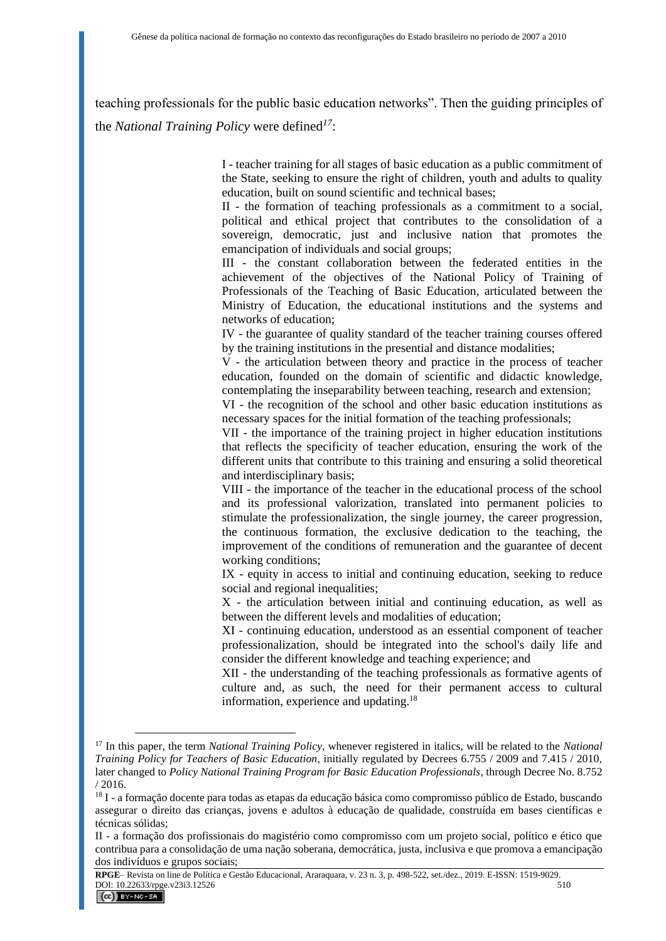teaching professionals for the public basic education networks". Then the guiding principles of the *National Training Policy* were defined*<sup>17</sup>*:

> I - teacher training for all stages of basic education as a public commitment of the State, seeking to ensure the right of children, youth and adults to quality education, built on sound scientific and technical bases;

> II - the formation of teaching professionals as a commitment to a social, political and ethical project that contributes to the consolidation of a sovereign, democratic, just and inclusive nation that promotes the emancipation of individuals and social groups;

> III - the constant collaboration between the federated entities in the achievement of the objectives of the National Policy of Training of Professionals of the Teaching of Basic Education, articulated between the Ministry of Education, the educational institutions and the systems and networks of education;

> IV - the guarantee of quality standard of the teacher training courses offered by the training institutions in the presential and distance modalities;

> V - the articulation between theory and practice in the process of teacher education, founded on the domain of scientific and didactic knowledge, contemplating the inseparability between teaching, research and extension;

> VI - the recognition of the school and other basic education institutions as necessary spaces for the initial formation of the teaching professionals;

> VII - the importance of the training project in higher education institutions that reflects the specificity of teacher education, ensuring the work of the different units that contribute to this training and ensuring a solid theoretical and interdisciplinary basis;

> VIII - the importance of the teacher in the educational process of the school and its professional valorization, translated into permanent policies to stimulate the professionalization, the single journey, the career progression, the continuous formation, the exclusive dedication to the teaching, the improvement of the conditions of remuneration and the guarantee of decent working conditions;

> IX - equity in access to initial and continuing education, seeking to reduce social and regional inequalities;

> X - the articulation between initial and continuing education, as well as between the different levels and modalities of education;

> XI - continuing education, understood as an essential component of teacher professionalization, should be integrated into the school's daily life and consider the different knowledge and teaching experience; and

> XII - the understanding of the teaching professionals as formative agents of culture and, as such, the need for their permanent access to cultural information, experience and updating.<sup>18</sup>

<sup>17</sup> In this paper, the term *National Training Policy*, whenever registered in italics, will be related to the *National Training Policy for Teachers of Basic Education*, initially regulated by Decrees 6.755 / 2009 and 7.415 / 2010, later changed to *Policy National Training Program for Basic Education Professionals*, through Decree No. 8.752 / 2016.

<sup>&</sup>lt;sup>18</sup> I - a formação docente para todas as etapas da educação básica como compromisso público de Estado, buscando assegurar o direito das crianças, jovens e adultos à educação de qualidade, construída em bases científicas e técnicas sólidas;

II - a formação dos profissionais do magistério como compromisso com um projeto social, político e ético que contribua para a consolidação de uma nação soberana, democrática, justa, inclusiva e que promova a emancipação dos indivíduos e grupos sociais;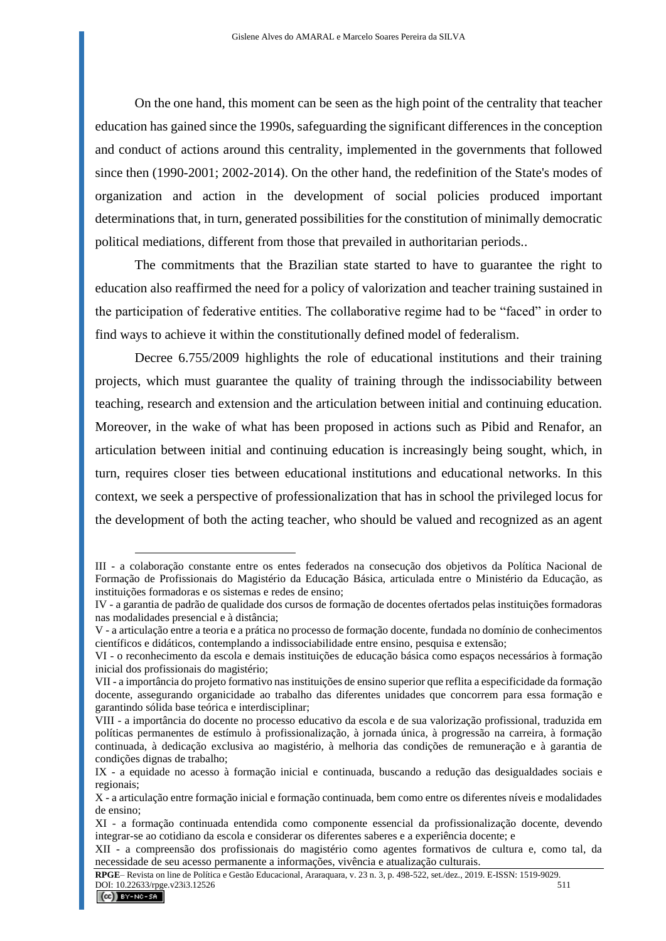On the one hand, this moment can be seen as the high point of the centrality that teacher education has gained since the 1990s, safeguarding the significant differences in the conception and conduct of actions around this centrality, implemented in the governments that followed since then (1990-2001; 2002-2014). On the other hand, the redefinition of the State's modes of organization and action in the development of social policies produced important determinations that, in turn, generated possibilities for the constitution of minimally democratic political mediations, different from those that prevailed in authoritarian periods..

The commitments that the Brazilian state started to have to guarantee the right to education also reaffirmed the need for a policy of valorization and teacher training sustained in the participation of federative entities. The collaborative regime had to be "faced" in order to find ways to achieve it within the constitutionally defined model of federalism.

Decree 6.755/2009 highlights the role of educational institutions and their training projects, which must guarantee the quality of training through the indissociability between teaching, research and extension and the articulation between initial and continuing education. Moreover, in the wake of what has been proposed in actions such as Pibid and Renafor, an articulation between initial and continuing education is increasingly being sought, which, in turn, requires closer ties between educational institutions and educational networks. In this context, we seek a perspective of professionalization that has in school the privileged locus for the development of both the acting teacher, who should be valued and recognized as an agent

III - a colaboração constante entre os entes federados na consecução dos objetivos da Política Nacional de Formação de Profissionais do Magistério da Educação Básica, articulada entre o Ministério da Educação, as instituições formadoras e os sistemas e redes de ensino;

IV - a garantia de padrão de qualidade dos cursos de formação de docentes ofertados pelas instituições formadoras nas modalidades presencial e à distância;

V - a articulação entre a teoria e a prática no processo de formação docente, fundada no domínio de conhecimentos científicos e didáticos, contemplando a indissociabilidade entre ensino, pesquisa e extensão;

VI - o reconhecimento da escola e demais instituições de educação básica como espaços necessários à formação inicial dos profissionais do magistério;

VII - a importância do projeto formativo nas instituições de ensino superior que reflita a especificidade da formação docente, assegurando organicidade ao trabalho das diferentes unidades que concorrem para essa formação e garantindo sólida base teórica e interdisciplinar;

VIII - a importância do docente no processo educativo da escola e de sua valorização profissional, traduzida em políticas permanentes de estímulo à profissionalização, à jornada única, à progressão na carreira, à formação continuada, à dedicação exclusiva ao magistério, à melhoria das condições de remuneração e à garantia de condições dignas de trabalho;

IX - a equidade no acesso à formação inicial e continuada, buscando a redução das desigualdades sociais e regionais;

X - a articulação entre formação inicial e formação continuada, bem como entre os diferentes níveis e modalidades de ensino;

XI - a formação continuada entendida como componente essencial da profissionalização docente, devendo integrar-se ao cotidiano da escola e considerar os diferentes saberes e a experiência docente; e

XII - a compreensão dos profissionais do magistério como agentes formativos de cultura e, como tal, da necessidade de seu acesso permanente a informações, vivência e atualização culturais.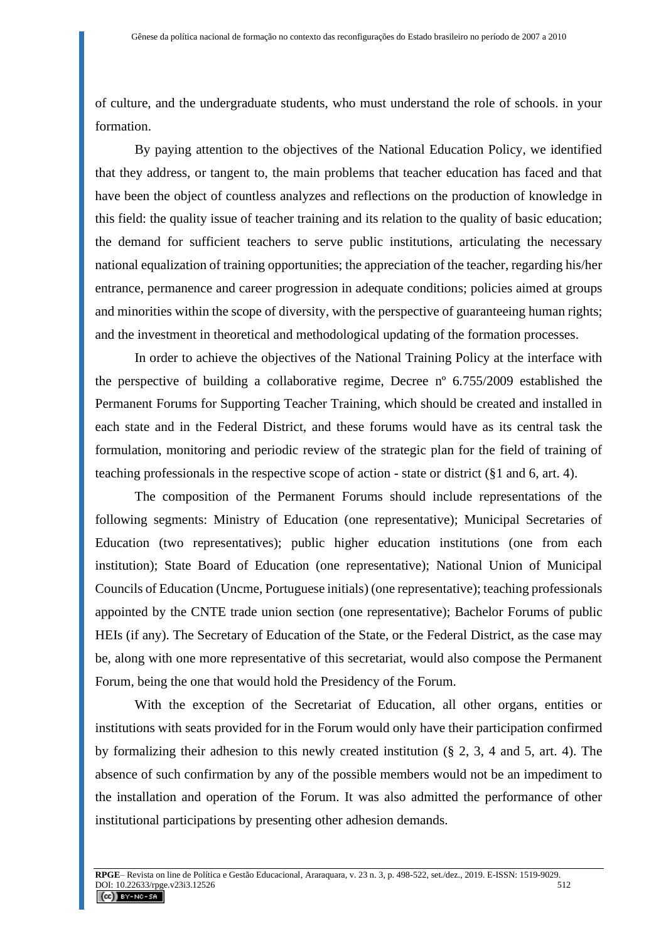of culture, and the undergraduate students, who must understand the role of schools. in your formation.

By paying attention to the objectives of the National Education Policy, we identified that they address, or tangent to, the main problems that teacher education has faced and that have been the object of countless analyzes and reflections on the production of knowledge in this field: the quality issue of teacher training and its relation to the quality of basic education; the demand for sufficient teachers to serve public institutions, articulating the necessary national equalization of training opportunities; the appreciation of the teacher, regarding his/her entrance, permanence and career progression in adequate conditions; policies aimed at groups and minorities within the scope of diversity, with the perspective of guaranteeing human rights; and the investment in theoretical and methodological updating of the formation processes.

In order to achieve the objectives of the National Training Policy at the interface with the perspective of building a collaborative regime, Decree nº 6.755/2009 established the Permanent Forums for Supporting Teacher Training, which should be created and installed in each state and in the Federal District, and these forums would have as its central task the formulation, monitoring and periodic review of the strategic plan for the field of training of teaching professionals in the respective scope of action - state or district (§1 and 6, art. 4).

The composition of the Permanent Forums should include representations of the following segments: Ministry of Education (one representative); Municipal Secretaries of Education (two representatives); public higher education institutions (one from each institution); State Board of Education (one representative); National Union of Municipal Councils of Education (Uncme, Portuguese initials) (one representative); teaching professionals appointed by the CNTE trade union section (one representative); Bachelor Forums of public HEIs (if any). The Secretary of Education of the State, or the Federal District, as the case may be, along with one more representative of this secretariat, would also compose the Permanent Forum, being the one that would hold the Presidency of the Forum.

With the exception of the Secretariat of Education, all other organs, entities or institutions with seats provided for in the Forum would only have their participation confirmed by formalizing their adhesion to this newly created institution (§ 2, 3, 4 and 5, art. 4). The absence of such confirmation by any of the possible members would not be an impediment to the installation and operation of the Forum. It was also admitted the performance of other institutional participations by presenting other adhesion demands.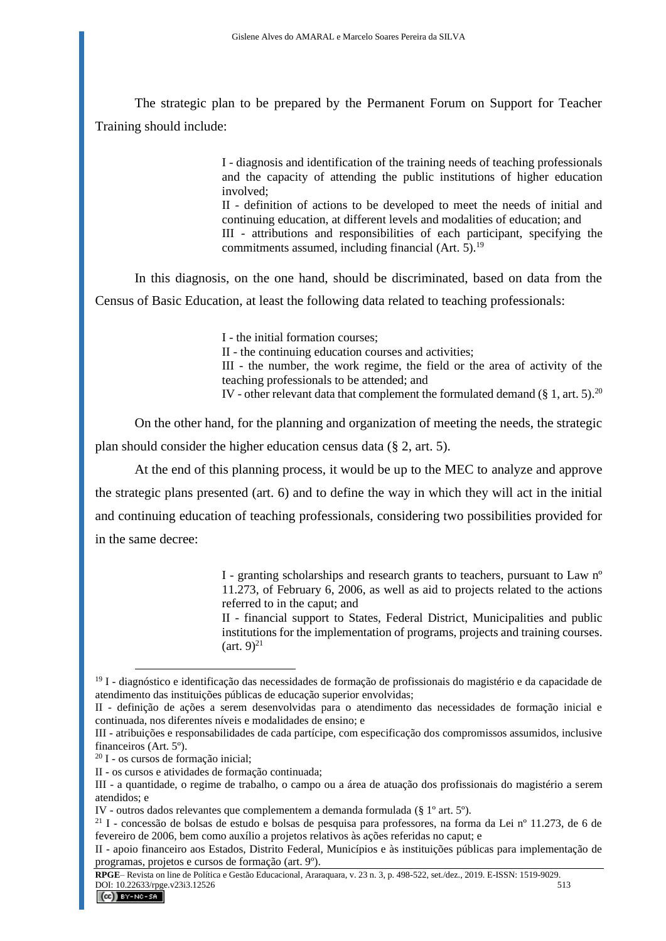The strategic plan to be prepared by the Permanent Forum on Support for Teacher Training should include:

> I - diagnosis and identification of the training needs of teaching professionals and the capacity of attending the public institutions of higher education involved;

> II - definition of actions to be developed to meet the needs of initial and continuing education, at different levels and modalities of education; and III - attributions and responsibilities of each participant, specifying the commitments assumed, including financial  $(Art. 5)$ .<sup>19</sup>

In this diagnosis, on the one hand, should be discriminated, based on data from the Census of Basic Education, at least the following data related to teaching professionals:

> I - the initial formation courses; II - the continuing education courses and activities; III - the number, the work regime, the field or the area of activity of the teaching professionals to be attended; and IV - other relevant data that complement the formulated demand  $(\S 1, \text{art. } 5)^{20}$

On the other hand, for the planning and organization of meeting the needs, the strategic plan should consider the higher education census data (§ 2, art. 5).

At the end of this planning process, it would be up to the MEC to analyze and approve the strategic plans presented (art. 6) and to define the way in which they will act in the initial and continuing education of teaching professionals, considering two possibilities provided for in the same decree:

> I - granting scholarships and research grants to teachers, pursuant to Law nº 11.273, of February 6, 2006, as well as aid to projects related to the actions referred to in the caput; and

> II - financial support to States, Federal District, Municipalities and public institutions for the implementation of programs, projects and training courses.  $(\text{art. } 9)^{21}$

<sup>&</sup>lt;sup>19</sup> I - diagnóstico e identificação das necessidades de formação de profissionais do magistério e da capacidade de atendimento das instituições públicas de educação superior envolvidas;

II - definição de ações a serem desenvolvidas para o atendimento das necessidades de formação inicial e continuada, nos diferentes níveis e modalidades de ensino; e

III - atribuições e responsabilidades de cada partícipe, com especificação dos compromissos assumidos, inclusive financeiros (Art. 5º).

<sup>20</sup> I - os cursos de formação inicial;

II - os cursos e atividades de formação continuada;

III - a quantidade, o regime de trabalho, o campo ou a área de atuação dos profissionais do magistério a serem atendidos; e

IV - outros dados relevantes que complementem a demanda formulada (§ 1º art. 5º).

<sup>21</sup> I - concessão de bolsas de estudo e bolsas de pesquisa para professores, na forma da Lei nº 11.273, de 6 de fevereiro de 2006, bem como auxílio a projetos relativos às ações referidas no caput; e

II - apoio financeiro aos Estados, Distrito Federal, Municípios e às instituições públicas para implementação de programas, projetos e cursos de formação (art. 9º).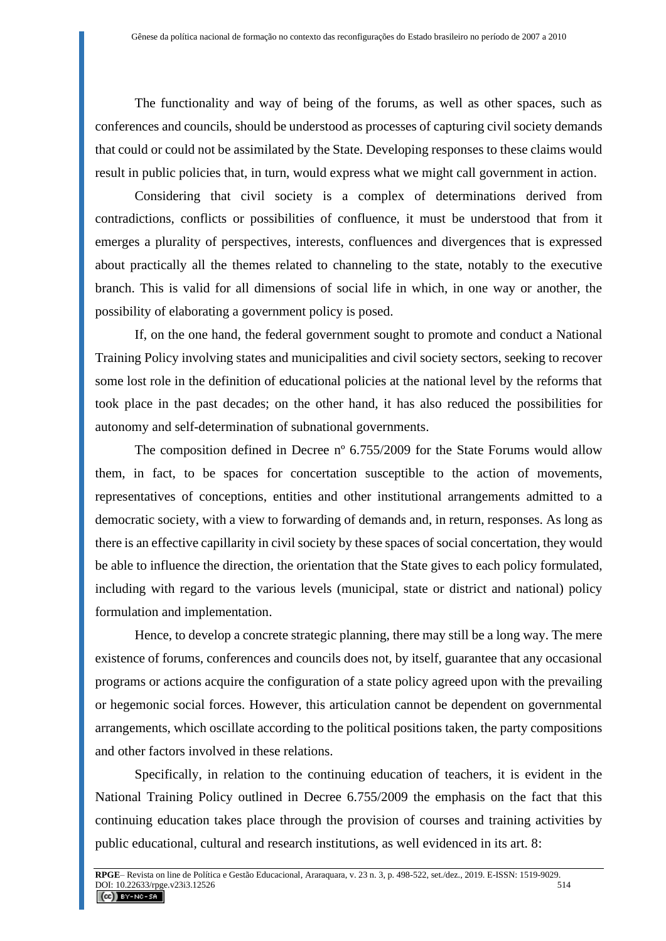The functionality and way of being of the forums, as well as other spaces, such as conferences and councils, should be understood as processes of capturing civil society demands that could or could not be assimilated by the State. Developing responses to these claims would result in public policies that, in turn, would express what we might call government in action.

Considering that civil society is a complex of determinations derived from contradictions, conflicts or possibilities of confluence, it must be understood that from it emerges a plurality of perspectives, interests, confluences and divergences that is expressed about practically all the themes related to channeling to the state, notably to the executive branch. This is valid for all dimensions of social life in which, in one way or another, the possibility of elaborating a government policy is posed.

If, on the one hand, the federal government sought to promote and conduct a National Training Policy involving states and municipalities and civil society sectors, seeking to recover some lost role in the definition of educational policies at the national level by the reforms that took place in the past decades; on the other hand, it has also reduced the possibilities for autonomy and self-determination of subnational governments.

The composition defined in Decree n<sup>o</sup> 6.755/2009 for the State Forums would allow them, in fact, to be spaces for concertation susceptible to the action of movements, representatives of conceptions, entities and other institutional arrangements admitted to a democratic society, with a view to forwarding of demands and, in return, responses. As long as there is an effective capillarity in civil society by these spaces of social concertation, they would be able to influence the direction, the orientation that the State gives to each policy formulated, including with regard to the various levels (municipal, state or district and national) policy formulation and implementation.

Hence, to develop a concrete strategic planning, there may still be a long way. The mere existence of forums, conferences and councils does not, by itself, guarantee that any occasional programs or actions acquire the configuration of a state policy agreed upon with the prevailing or hegemonic social forces. However, this articulation cannot be dependent on governmental arrangements, which oscillate according to the political positions taken, the party compositions and other factors involved in these relations.

Specifically, in relation to the continuing education of teachers, it is evident in the National Training Policy outlined in Decree 6.755/2009 the emphasis on the fact that this continuing education takes place through the provision of courses and training activities by public educational, cultural and research institutions, as well evidenced in its art. 8: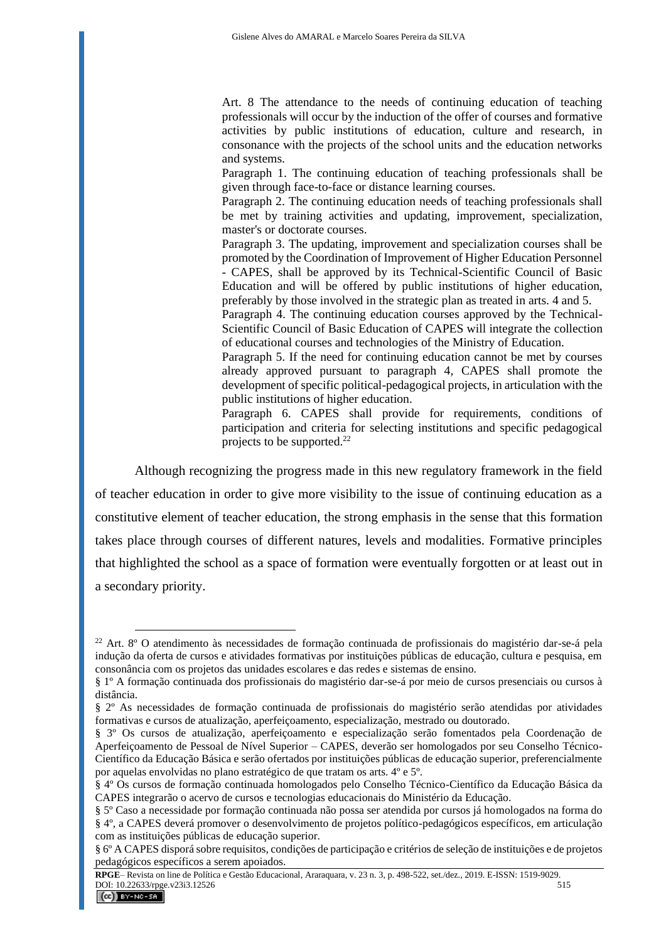Art. 8 The attendance to the needs of continuing education of teaching professionals will occur by the induction of the offer of courses and formative activities by public institutions of education, culture and research, in consonance with the projects of the school units and the education networks and systems.

Paragraph 1. The continuing education of teaching professionals shall be given through face-to-face or distance learning courses.

Paragraph 2. The continuing education needs of teaching professionals shall be met by training activities and updating, improvement, specialization, master's or doctorate courses.

Paragraph 3. The updating, improvement and specialization courses shall be promoted by the Coordination of Improvement of Higher Education Personnel - CAPES, shall be approved by its Technical-Scientific Council of Basic

Education and will be offered by public institutions of higher education, preferably by those involved in the strategic plan as treated in arts. 4 and 5.

Paragraph 4. The continuing education courses approved by the Technical-Scientific Council of Basic Education of CAPES will integrate the collection of educational courses and technologies of the Ministry of Education.

Paragraph 5. If the need for continuing education cannot be met by courses already approved pursuant to paragraph 4, CAPES shall promote the development of specific political-pedagogical projects, in articulation with the public institutions of higher education.

Paragraph 6. CAPES shall provide for requirements, conditions of participation and criteria for selecting institutions and specific pedagogical projects to be supported.<sup>22</sup>

Although recognizing the progress made in this new regulatory framework in the field of teacher education in order to give more visibility to the issue of continuing education as a constitutive element of teacher education, the strong emphasis in the sense that this formation takes place through courses of different natures, levels and modalities. Formative principles that highlighted the school as a space of formation were eventually forgotten or at least out in a secondary priority.

<sup>22</sup> Art. 8º O atendimento às necessidades de formação continuada de profissionais do magistério dar-se-á pela indução da oferta de cursos e atividades formativas por instituições públicas de educação, cultura e pesquisa, em consonância com os projetos das unidades escolares e das redes e sistemas de ensino.

<sup>§ 1</sup>º A formação continuada dos profissionais do magistério dar-se-á por meio de cursos presenciais ou cursos à distância.

<sup>§ 2</sup>º As necessidades de formação continuada de profissionais do magistério serão atendidas por atividades formativas e cursos de atualização, aperfeiçoamento, especialização, mestrado ou doutorado.

<sup>§ 3</sup>º Os cursos de atualização, aperfeiçoamento e especialização serão fomentados pela Coordenação de Aperfeiçoamento de Pessoal de Nível Superior – CAPES, deverão ser homologados por seu Conselho Técnico-Científico da Educação Básica e serão ofertados por instituições públicas de educação superior, preferencialmente por aquelas envolvidas no plano estratégico de que tratam os arts. 4º e 5º.

<sup>§ 4</sup>º Os cursos de formação continuada homologados pelo Conselho Técnico-Científico da Educação Básica da CAPES integrarão o acervo de cursos e tecnologias educacionais do Ministério da Educação.

<sup>§ 5</sup>º Caso a necessidade por formação continuada não possa ser atendida por cursos já homologados na forma do § 4º, a CAPES deverá promover o desenvolvimento de projetos político-pedagógicos específicos, em articulação com as instituições públicas de educação superior.

<sup>§ 6</sup>º A CAPES disporá sobre requisitos, condições de participação e critérios de seleção de instituições e de projetos pedagógicos específicos a serem apoiados.

**RPGE**– Revista on line de Política e Gestão Educacional, Araraquara, v. 23 n. 3, p. 498-522, set./dez., 2019. E-ISSN: 1519-9029. DOI:  $10.22633$ /rpge.v23i3.12526<br> **CC** BY-NC-SA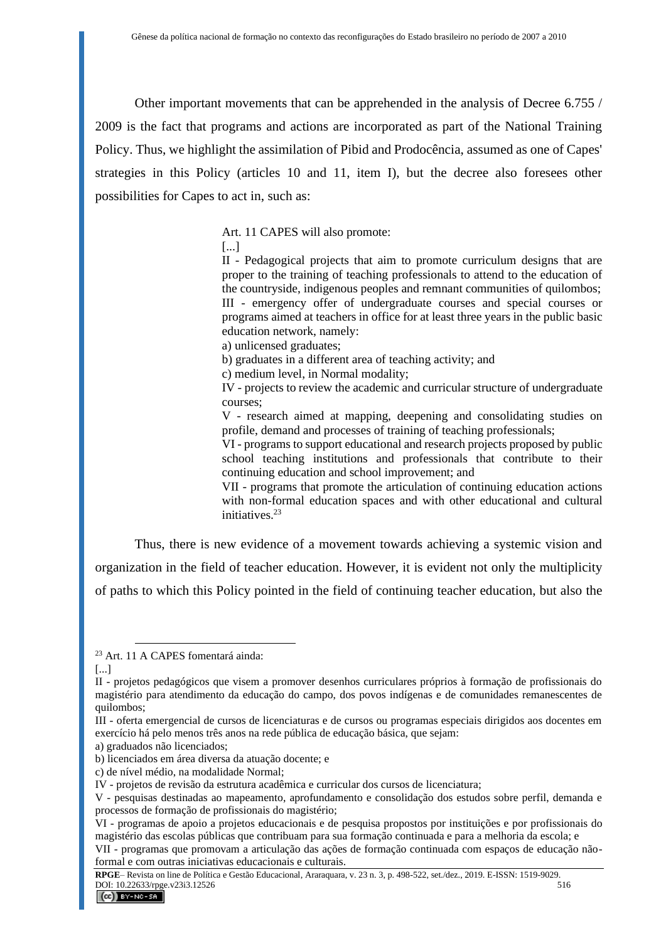Other important movements that can be apprehended in the analysis of Decree 6.755 / 2009 is the fact that programs and actions are incorporated as part of the National Training Policy. Thus, we highlight the assimilation of Pibid and Prodocência, assumed as one of Capes' strategies in this Policy (articles 10 and 11, item I), but the decree also foresees other possibilities for Capes to act in, such as:

Art. 11 CAPES will also promote:

[...]

II - Pedagogical projects that aim to promote curriculum designs that are proper to the training of teaching professionals to attend to the education of the countryside, indigenous peoples and remnant communities of quilombos; III - emergency offer of undergraduate courses and special courses or programs aimed at teachers in office for at least three years in the public basic education network, namely:

a) unlicensed graduates;

b) graduates in a different area of teaching activity; and

c) medium level, in Normal modality;

IV - projects to review the academic and curricular structure of undergraduate courses;

V - research aimed at mapping, deepening and consolidating studies on profile, demand and processes of training of teaching professionals;

VI - programs to support educational and research projects proposed by public school teaching institutions and professionals that contribute to their continuing education and school improvement; and

VII - programs that promote the articulation of continuing education actions with non-formal education spaces and with other educational and cultural initiatives.<sup>23</sup>

Thus, there is new evidence of a movement towards achieving a systemic vision and organization in the field of teacher education. However, it is evident not only the multiplicity of paths to which this Policy pointed in the field of continuing teacher education, but also the

<sup>23</sup> Art. 11 A CAPES fomentará ainda:

<sup>[...]</sup>

II - projetos pedagógicos que visem a promover desenhos curriculares próprios à formação de profissionais do magistério para atendimento da educação do campo, dos povos indígenas e de comunidades remanescentes de quilombos;

III - oferta emergencial de cursos de licenciaturas e de cursos ou programas especiais dirigidos aos docentes em exercício há pelo menos três anos na rede pública de educação básica, que sejam:

a) graduados não licenciados;

b) licenciados em área diversa da atuação docente; e

c) de nível médio, na modalidade Normal;

IV - projetos de revisão da estrutura acadêmica e curricular dos cursos de licenciatura;

V - pesquisas destinadas ao mapeamento, aprofundamento e consolidação dos estudos sobre perfil, demanda e processos de formação de profissionais do magistério;

VI - programas de apoio a projetos educacionais e de pesquisa propostos por instituições e por profissionais do magistério das escolas públicas que contribuam para sua formação continuada e para a melhoria da escola; e

VII - programas que promovam a articulação das ações de formação continuada com espaços de educação nãoformal e com outras iniciativas educacionais e culturais.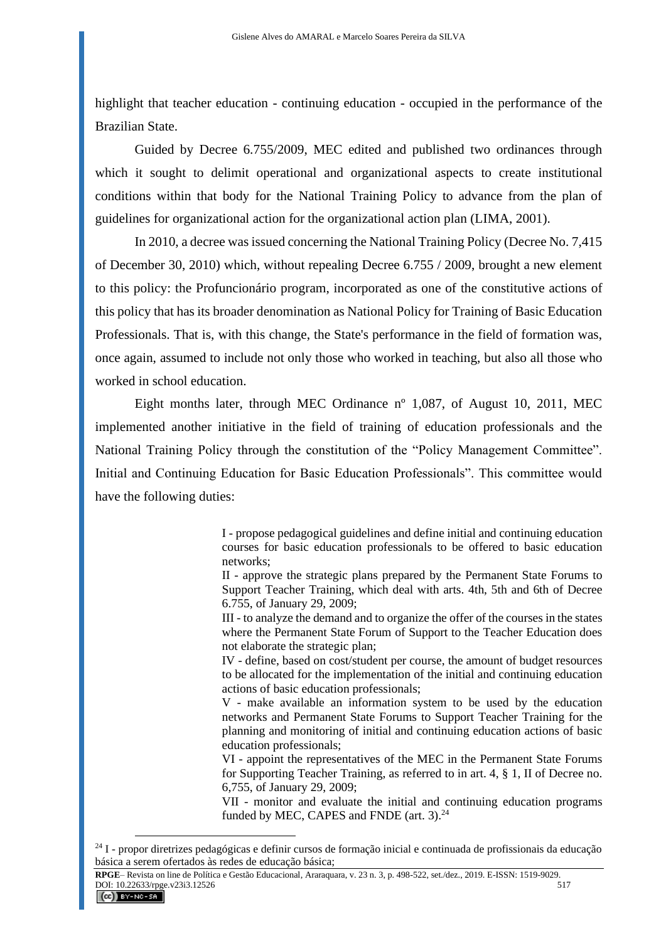highlight that teacher education - continuing education - occupied in the performance of the Brazilian State.

Guided by Decree 6.755/2009, MEC edited and published two ordinances through which it sought to delimit operational and organizational aspects to create institutional conditions within that body for the National Training Policy to advance from the plan of guidelines for organizational action for the organizational action plan (LIMA, 2001).

In 2010, a decree was issued concerning the National Training Policy (Decree No. 7,415 of December 30, 2010) which, without repealing Decree 6.755 / 2009, brought a new element to this policy: the Profuncionário program, incorporated as one of the constitutive actions of this policy that has its broader denomination as National Policy for Training of Basic Education Professionals. That is, with this change, the State's performance in the field of formation was, once again, assumed to include not only those who worked in teaching, but also all those who worked in school education.

Eight months later, through MEC Ordinance nº 1,087, of August 10, 2011, MEC implemented another initiative in the field of training of education professionals and the National Training Policy through the constitution of the "Policy Management Committee". Initial and Continuing Education for Basic Education Professionals". This committee would have the following duties:

> I - propose pedagogical guidelines and define initial and continuing education courses for basic education professionals to be offered to basic education networks;

> II - approve the strategic plans prepared by the Permanent State Forums to Support Teacher Training, which deal with arts. 4th, 5th and 6th of Decree 6.755, of January 29, 2009;

> III - to analyze the demand and to organize the offer of the courses in the states where the Permanent State Forum of Support to the Teacher Education does not elaborate the strategic plan;

> IV - define, based on cost/student per course, the amount of budget resources to be allocated for the implementation of the initial and continuing education actions of basic education professionals;

> V - make available an information system to be used by the education networks and Permanent State Forums to Support Teacher Training for the planning and monitoring of initial and continuing education actions of basic education professionals;

> VI - appoint the representatives of the MEC in the Permanent State Forums for Supporting Teacher Training, as referred to in art. 4, § 1, II of Decree no. 6,755, of January 29, 2009;

> VII - monitor and evaluate the initial and continuing education programs funded by MEC, CAPES and FNDE (art. 3).<sup>24</sup>

<sup>24</sup> I - propor diretrizes pedagógicas e definir cursos de formação inicial e continuada de profissionais da educação básica a serem ofertados às redes de educação básica;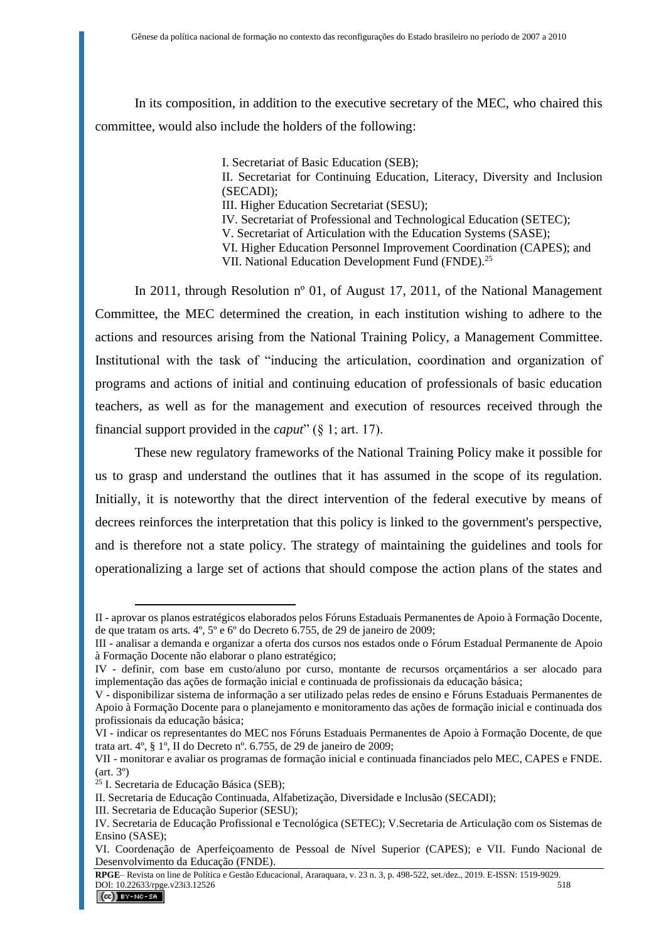In its composition, in addition to the executive secretary of the MEC, who chaired this committee, would also include the holders of the following:

I. Secretariat of Basic Education (SEB);

II. Secretariat for Continuing Education, Literacy, Diversity and Inclusion (SECADI);

III. Higher Education Secretariat (SESU);

IV. Secretariat of Professional and Technological Education (SETEC);

V. Secretariat of Articulation with the Education Systems (SASE);

VI. Higher Education Personnel Improvement Coordination (CAPES); and VII. National Education Development Fund (FNDE).<sup>25</sup>

In 2011, through Resolution nº 01, of August 17, 2011, of the National Management Committee, the MEC determined the creation, in each institution wishing to adhere to the actions and resources arising from the National Training Policy, a Management Committee. Institutional with the task of "inducing the articulation, coordination and organization of programs and actions of initial and continuing education of professionals of basic education teachers, as well as for the management and execution of resources received through the financial support provided in the *caput*" (§ 1; art. 17).

These new regulatory frameworks of the National Training Policy make it possible for us to grasp and understand the outlines that it has assumed in the scope of its regulation. Initially, it is noteworthy that the direct intervention of the federal executive by means of decrees reinforces the interpretation that this policy is linked to the government's perspective, and is therefore not a state policy. The strategy of maintaining the guidelines and tools for operationalizing a large set of actions that should compose the action plans of the states and

II - aprovar os planos estratégicos elaborados pelos Fóruns Estaduais Permanentes de Apoio à Formação Docente, de que tratam os arts. 4º, 5º e 6º do Decreto 6.755, de 29 de janeiro de 2009;

III - analisar a demanda e organizar a oferta dos cursos nos estados onde o Fórum Estadual Permanente de Apoio à Formação Docente não elaborar o plano estratégico;

IV - definir, com base em custo/aluno por curso, montante de recursos orçamentários a ser alocado para implementação das ações de formação inicial e continuada de profissionais da educação básica;

V - disponibilizar sistema de informação a ser utilizado pelas redes de ensino e Fóruns Estaduais Permanentes de Apoio à Formação Docente para o planejamento e monitoramento das ações de formação inicial e continuada dos profissionais da educação básica;

VI - indicar os representantes do MEC nos Fóruns Estaduais Permanentes de Apoio à Formação Docente, de que trata art. 4º, § 1º, II do Decreto nº. 6.755, de 29 de janeiro de 2009;

VII - monitorar e avaliar os programas de formação inicial e continuada financiados pelo MEC, CAPES e FNDE.  $(art. 3<sup>o</sup>)$ 

<sup>25</sup> I. Secretaria de Educação Básica (SEB);

II. Secretaria de Educação Continuada, Alfabetização, Diversidade e Inclusão (SECADI);

III. Secretaria de Educação Superior (SESU);

IV. Secretaria de Educação Profissional e Tecnológica (SETEC); V.Secretaria de Articulação com os Sistemas de Ensino (SASE);

VI. Coordenação de Aperfeiçoamento de Pessoal de Nível Superior (CAPES); e VII. Fundo Nacional de Desenvolvimento da Educação (FNDE).

**RPGE**– Revista on line de Política e Gestão Educacional, Araraquara, v. 23 n. 3, p. 498-522, set./dez., 2019. E-ISSN: 1519-9029. DOI: 10.22633/rpge.v23i3.12526<br> **CC** BY-NC-SA 518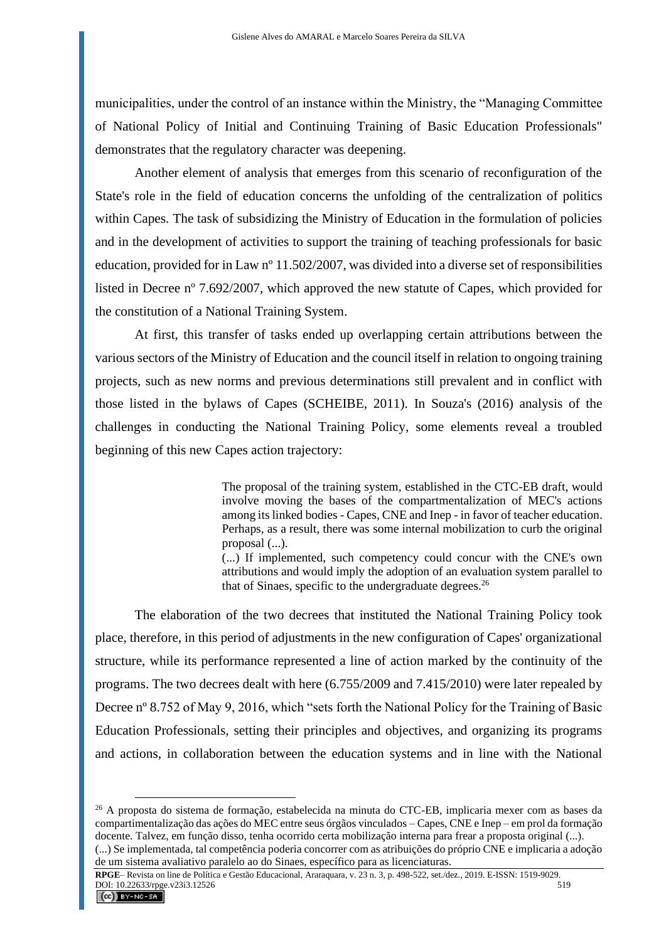municipalities, under the control of an instance within the Ministry, the "Managing Committee of National Policy of Initial and Continuing Training of Basic Education Professionals" demonstrates that the regulatory character was deepening.

Another element of analysis that emerges from this scenario of reconfiguration of the State's role in the field of education concerns the unfolding of the centralization of politics within Capes. The task of subsidizing the Ministry of Education in the formulation of policies and in the development of activities to support the training of teaching professionals for basic education, provided for in Law nº 11.502/2007, was divided into a diverse set of responsibilities listed in Decree nº 7.692/2007, which approved the new statute of Capes, which provided for the constitution of a National Training System.

At first, this transfer of tasks ended up overlapping certain attributions between the various sectors of the Ministry of Education and the council itself in relation to ongoing training projects, such as new norms and previous determinations still prevalent and in conflict with those listed in the bylaws of Capes (SCHEIBE, 2011). In Souza's (2016) analysis of the challenges in conducting the National Training Policy, some elements reveal a troubled beginning of this new Capes action trajectory:

> The proposal of the training system, established in the CTC-EB draft, would involve moving the bases of the compartmentalization of MEC's actions among its linked bodies - Capes, CNE and Inep - in favor of teacher education. Perhaps, as a result, there was some internal mobilization to curb the original proposal (...).

> (...) If implemented, such competency could concur with the CNE's own attributions and would imply the adoption of an evaluation system parallel to that of Sinaes, specific to the undergraduate degrees. $26$

The elaboration of the two decrees that instituted the National Training Policy took place, therefore, in this period of adjustments in the new configuration of Capes' organizational structure, while its performance represented a line of action marked by the continuity of the programs. The two decrees dealt with here (6.755/2009 and 7.415/2010) were later repealed by Decree nº 8.752 of May 9, 2016, which "sets forth the National Policy for the Training of Basic Education Professionals, setting their principles and objectives, and organizing its programs and actions, in collaboration between the education systems and in line with the National

<sup>26</sup> A proposta do sistema de formação, estabelecida na minuta do CTC-EB, implicaria mexer com as bases da compartimentalização das ações do MEC entre seus órgãos vinculados – Capes, CNE e Inep – em prol da formação docente. Talvez, em função disso, tenha ocorrido certa mobilização interna para frear a proposta original (...).

<sup>(...)</sup> Se implementada, tal competência poderia concorrer com as atribuições do próprio CNE e implicaria a adoção de um sistema avaliativo paralelo ao do Sinaes, específico para as licenciaturas.

**RPGE**– Revista on line de Política e Gestão Educacional, Araraquara, v. 23 n. 3, p. 498-522, set./dez., 2019. E-ISSN: 1519-9029. DOI: 10.22633/rpge.v23i3.12526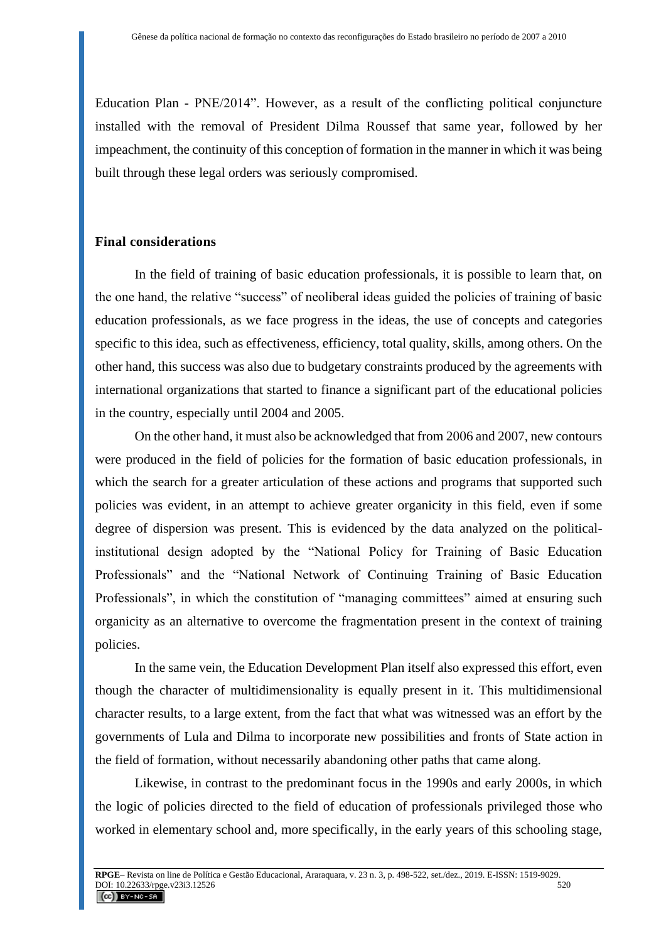Education Plan - PNE/2014". However, as a result of the conflicting political conjuncture installed with the removal of President Dilma Roussef that same year, followed by her impeachment, the continuity of this conception of formation in the manner in which it was being built through these legal orders was seriously compromised.

### **Final considerations**

In the field of training of basic education professionals, it is possible to learn that, on the one hand, the relative "success" of neoliberal ideas guided the policies of training of basic education professionals, as we face progress in the ideas, the use of concepts and categories specific to this idea, such as effectiveness, efficiency, total quality, skills, among others. On the other hand, this success was also due to budgetary constraints produced by the agreements with international organizations that started to finance a significant part of the educational policies in the country, especially until 2004 and 2005.

On the other hand, it must also be acknowledged that from 2006 and 2007, new contours were produced in the field of policies for the formation of basic education professionals, in which the search for a greater articulation of these actions and programs that supported such policies was evident, in an attempt to achieve greater organicity in this field, even if some degree of dispersion was present. This is evidenced by the data analyzed on the politicalinstitutional design adopted by the "National Policy for Training of Basic Education Professionals" and the "National Network of Continuing Training of Basic Education Professionals", in which the constitution of "managing committees" aimed at ensuring such organicity as an alternative to overcome the fragmentation present in the context of training policies.

In the same vein, the Education Development Plan itself also expressed this effort, even though the character of multidimensionality is equally present in it. This multidimensional character results, to a large extent, from the fact that what was witnessed was an effort by the governments of Lula and Dilma to incorporate new possibilities and fronts of State action in the field of formation, without necessarily abandoning other paths that came along.

Likewise, in contrast to the predominant focus in the 1990s and early 2000s, in which the logic of policies directed to the field of education of professionals privileged those who worked in elementary school and, more specifically, in the early years of this schooling stage,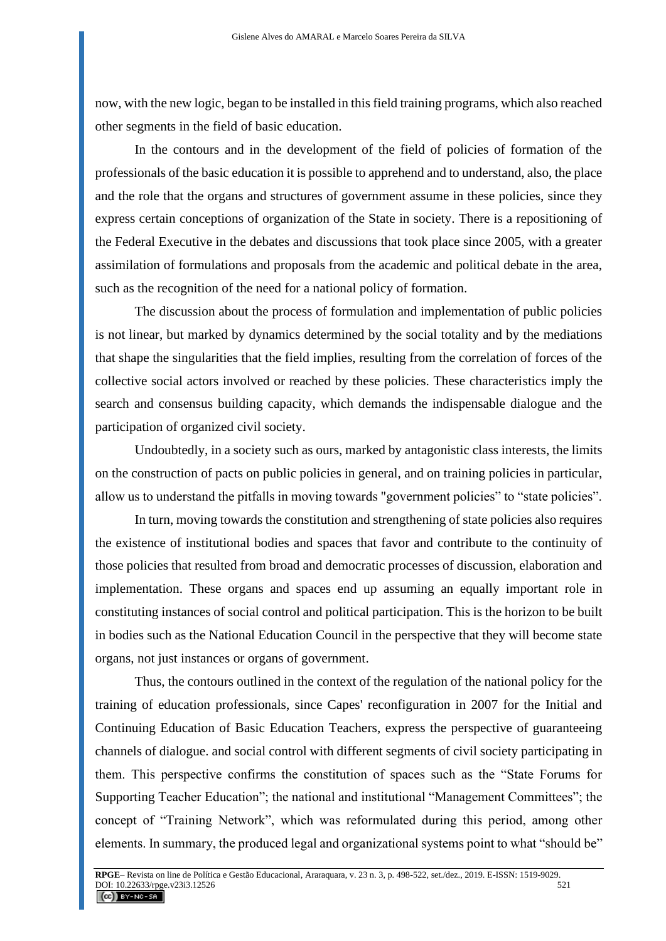now, with the new logic, began to be installed in this field training programs, which also reached other segments in the field of basic education.

In the contours and in the development of the field of policies of formation of the professionals of the basic education it is possible to apprehend and to understand, also, the place and the role that the organs and structures of government assume in these policies, since they express certain conceptions of organization of the State in society. There is a repositioning of the Federal Executive in the debates and discussions that took place since 2005, with a greater assimilation of formulations and proposals from the academic and political debate in the area, such as the recognition of the need for a national policy of formation.

The discussion about the process of formulation and implementation of public policies is not linear, but marked by dynamics determined by the social totality and by the mediations that shape the singularities that the field implies, resulting from the correlation of forces of the collective social actors involved or reached by these policies. These characteristics imply the search and consensus building capacity, which demands the indispensable dialogue and the participation of organized civil society.

Undoubtedly, in a society such as ours, marked by antagonistic class interests, the limits on the construction of pacts on public policies in general, and on training policies in particular, allow us to understand the pitfalls in moving towards "government policies" to "state policies".

In turn, moving towards the constitution and strengthening of state policies also requires the existence of institutional bodies and spaces that favor and contribute to the continuity of those policies that resulted from broad and democratic processes of discussion, elaboration and implementation. These organs and spaces end up assuming an equally important role in constituting instances of social control and political participation. This is the horizon to be built in bodies such as the National Education Council in the perspective that they will become state organs, not just instances or organs of government.

Thus, the contours outlined in the context of the regulation of the national policy for the training of education professionals, since Capes' reconfiguration in 2007 for the Initial and Continuing Education of Basic Education Teachers, express the perspective of guaranteeing channels of dialogue. and social control with different segments of civil society participating in them. This perspective confirms the constitution of spaces such as the "State Forums for Supporting Teacher Education"; the national and institutional "Management Committees"; the concept of "Training Network", which was reformulated during this period, among other elements. In summary, the produced legal and organizational systems point to what "should be"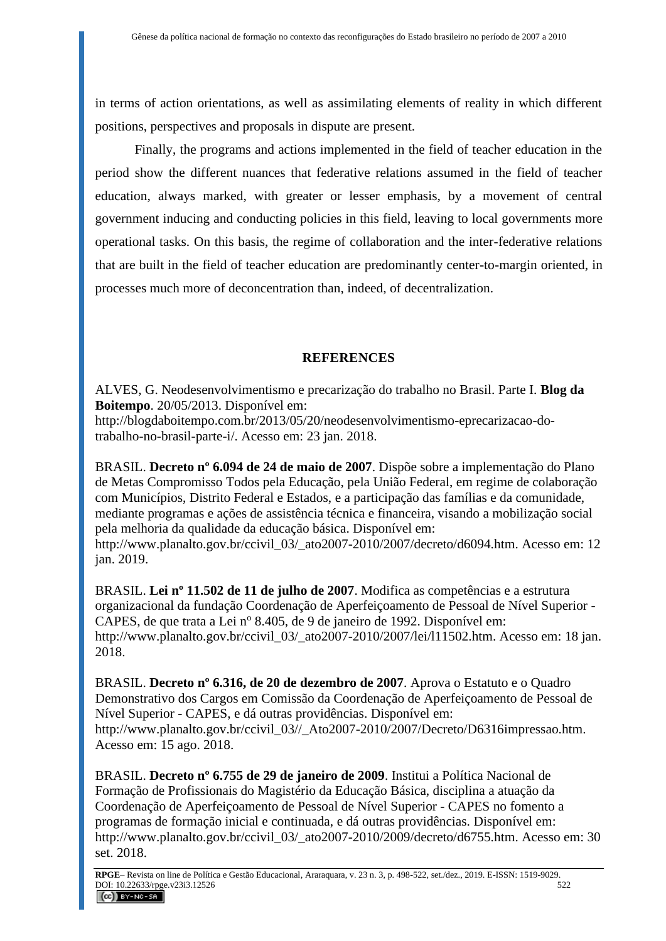in terms of action orientations, as well as assimilating elements of reality in which different positions, perspectives and proposals in dispute are present.

Finally, the programs and actions implemented in the field of teacher education in the period show the different nuances that federative relations assumed in the field of teacher education, always marked, with greater or lesser emphasis, by a movement of central government inducing and conducting policies in this field, leaving to local governments more operational tasks. On this basis, the regime of collaboration and the inter-federative relations that are built in the field of teacher education are predominantly center-to-margin oriented, in processes much more of deconcentration than, indeed, of decentralization.

## **REFERENCES**

ALVES, G. Neodesenvolvimentismo e precarização do trabalho no Brasil. Parte I. **Blog da Boitempo**. 20/05/2013. Disponível em:

http://blogdaboitempo.com.br/2013/05/20/neodesenvolvimentismo-eprecarizacao-dotrabalho-no-brasil-parte-i/. Acesso em: 23 jan. 2018.

BRASIL. **Decreto nº 6.094 de 24 de maio de 2007**. Dispõe sobre a implementação do Plano de Metas Compromisso Todos pela Educação, pela União Federal, em regime de colaboração com Municípios, Distrito Federal e Estados, e a participação das famílias e da comunidade, mediante programas e ações de assistência técnica e financeira, visando a mobilização social pela melhoria da qualidade da educação básica. Disponível em: http://www.planalto.gov.br/ccivil\_03/\_ato2007-2010/2007/decreto/d6094.htm. Acesso em: 12 jan. 2019.

BRASIL. **Lei nº 11.502 de 11 de julho de 2007**. Modifica as competências e a estrutura organizacional da fundação Coordenação de Aperfeiçoamento de Pessoal de Nível Superior - CAPES, de que trata a Lei nº 8.405, de 9 de janeiro de 1992. Disponível em: http://www.planalto.gov.br/ccivil\_03/\_ato2007-2010/2007/lei/l11502.htm. Acesso em: 18 jan. 2018.

BRASIL. **Decreto nº 6.316, de 20 de dezembro de 2007**. Aprova o Estatuto e o Quadro Demonstrativo dos Cargos em Comissão da Coordenação de Aperfeiçoamento de Pessoal de Nível Superior - CAPES, e dá outras providências. Disponível em: http://www.planalto.gov.br/ccivil\_03//\_Ato2007-2010/2007/Decreto/D6316impressao.htm. Acesso em: 15 ago. 2018.

BRASIL. **Decreto nº 6.755 de 29 de janeiro de 2009**. Institui a Política Nacional de Formação de Profissionais do Magistério da Educação Básica, disciplina a atuação da Coordenação de Aperfeiçoamento de Pessoal de Nível Superior - CAPES no fomento a programas de formação inicial e continuada, e dá outras providências. Disponível em: http://www.planalto.gov.br/ccivil\_03/\_ato2007-2010/2009/decreto/d6755.htm. Acesso em: 30 set. 2018.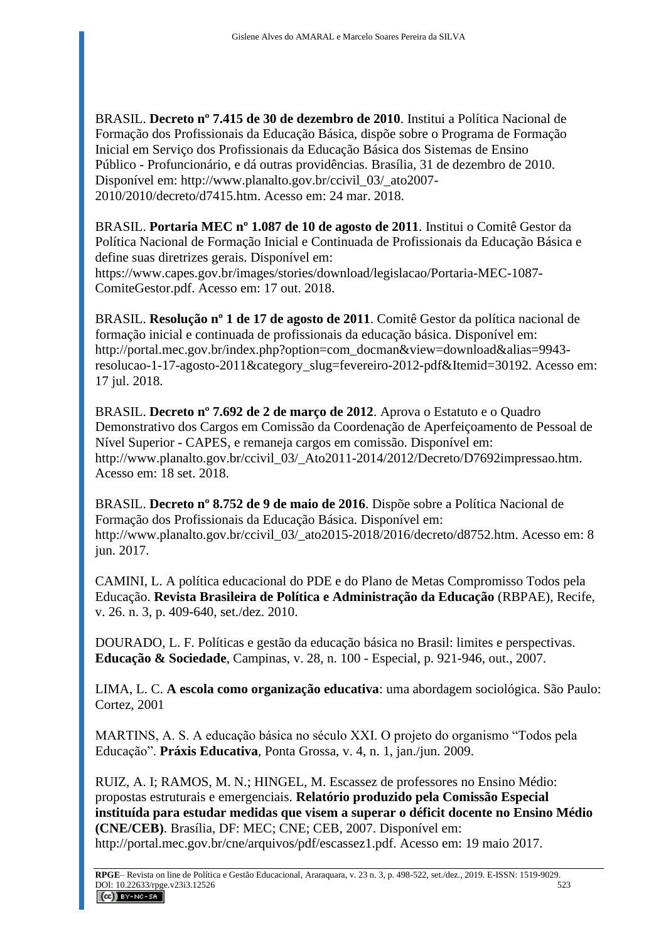BRASIL. **Decreto nº 7.415 de 30 de dezembro de 2010**. Institui a Política Nacional de Formação dos Profissionais da Educação Básica, dispõe sobre o Programa de Formação Inicial em Serviço dos Profissionais da Educação Básica dos Sistemas de Ensino Público - Profuncionário, e dá outras providências. Brasília, 31 de dezembro de 2010. Disponível em: http://www.planalto.gov.br/ccivil\_03/\_ato2007- 2010/2010/decreto/d7415.htm. Acesso em: 24 mar. 2018.

BRASIL. **Portaria MEC nº 1.087 de 10 de agosto de 2011**. Institui o Comitê Gestor da Política Nacional de Formação Inicial e Continuada de Profissionais da Educação Básica e define suas diretrizes gerais. Disponível em:

https://www.capes.gov.br/images/stories/download/legislacao/Portaria-MEC-1087- ComiteGestor.pdf. Acesso em: 17 out. 2018.

BRASIL. **Resolução nº 1 de 17 de agosto de 2011**. Comitê Gestor da política nacional de formação inicial e continuada de profissionais da educação básica. Disponível em: http://portal.mec.gov.br/index.php?option=com\_docman&view=download&alias=9943resolucao-1-17-agosto-2011&category\_slug=fevereiro-2012-pdf&Itemid=30192. Acesso em: 17 jul. 2018.

BRASIL. **Decreto nº 7.692 de 2 de março de 2012**. Aprova o Estatuto e o Quadro Demonstrativo dos Cargos em Comissão da Coordenação de Aperfeiçoamento de Pessoal de Nível Superior - CAPES, e remaneja cargos em comissão. Disponível em: http://www.planalto.gov.br/ccivil\_03/\_Ato2011-2014/2012/Decreto/D7692impressao.htm. Acesso em: 18 set. 2018.

BRASIL. **Decreto nº 8.752 de 9 de maio de 2016**. Dispõe sobre a Política Nacional de Formação dos Profissionais da Educação Básica. Disponível em: http://www.planalto.gov.br/ccivil\_03/\_ato2015-2018/2016/decreto/d8752.htm. Acesso em: 8 jun. 2017.

CAMINI, L. A política educacional do PDE e do Plano de Metas Compromisso Todos pela Educação. **Revista Brasileira de Política e Administração da Educação** (RBPAE), Recife, v. 26. n. 3, p. 409-640, set./dez. 2010.

DOURADO, L. F. Políticas e gestão da educação básica no Brasil: limites e perspectivas. **Educação & Sociedade**, Campinas, v. 28, n. 100 - Especial, p. 921-946, out., 2007.

LIMA, L. C. **A escola como organização educativa**: uma abordagem sociológica. São Paulo: Cortez, 2001

MARTINS, A. S. A educação básica no século XXI. O projeto do organismo "Todos pela Educação". **Práxis Educativa**, Ponta Grossa, v. 4, n. 1, jan./jun. 2009.

RUIZ, A. I; RAMOS, M. N.; HINGEL, M. Escassez de professores no Ensino Médio: propostas estruturais e emergenciais. **Relatório produzido pela Comissão Especial instituída para estudar medidas que visem a superar o déficit docente no Ensino Médio (CNE/CEB)**. Brasília, DF: MEC; CNE; CEB, 2007. Disponível em: http://portal.mec.gov.br/cne/arquivos/pdf/escassez1.pdf. Acesso em: 19 maio 2017.